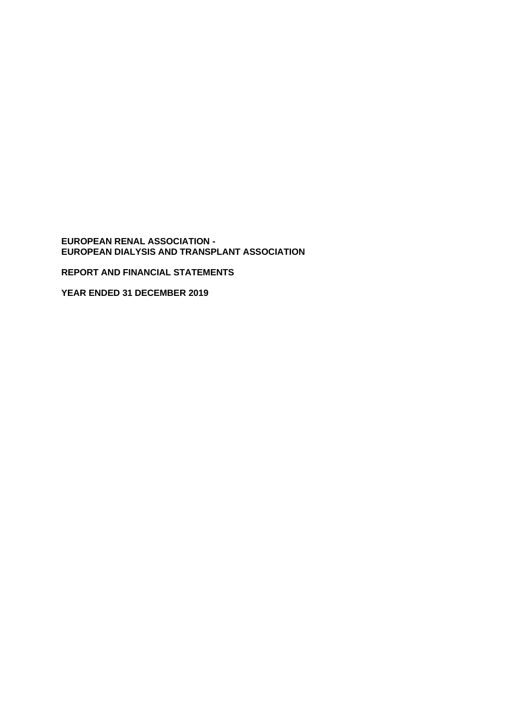**EUROPEAN RENAL ASSOCIATION - EUROPEAN DIALYSIS AND TRANSPLANT ASSOCIATION** 

**REPORT AND FINANCIAL STATEMENTS**

**YEAR ENDED 31 DECEMBER 2019**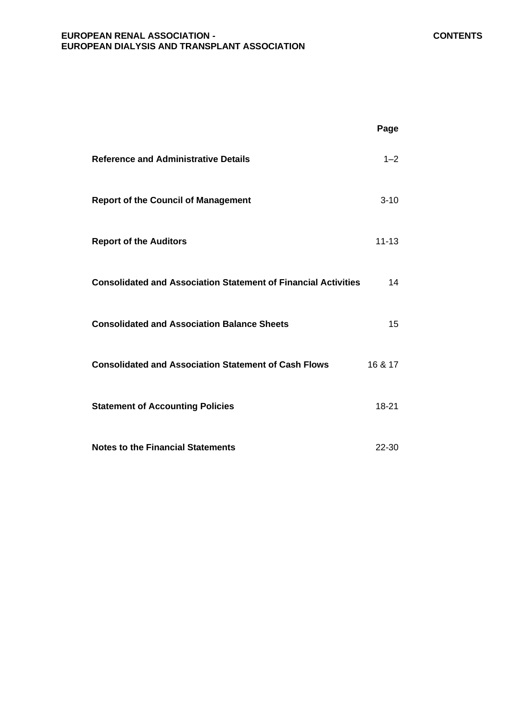#### **EUROPEAN RENAL ASSOCIATION - CONTENTS EUROPEAN DIALYSIS AND TRANSPLANT ASSOCIATION**

|                                                                       | Page      |
|-----------------------------------------------------------------------|-----------|
| <b>Reference and Administrative Details</b>                           | $1 - 2$   |
| <b>Report of the Council of Management</b>                            | $3 - 10$  |
| <b>Report of the Auditors</b>                                         | $11 - 13$ |
| <b>Consolidated and Association Statement of Financial Activities</b> | 14        |
| <b>Consolidated and Association Balance Sheets</b>                    | 15        |
| <b>Consolidated and Association Statement of Cash Flows</b>           | 16 & 17   |
| <b>Statement of Accounting Policies</b>                               | 18-21     |
| <b>Notes to the Financial Statements</b>                              | $22 - 30$ |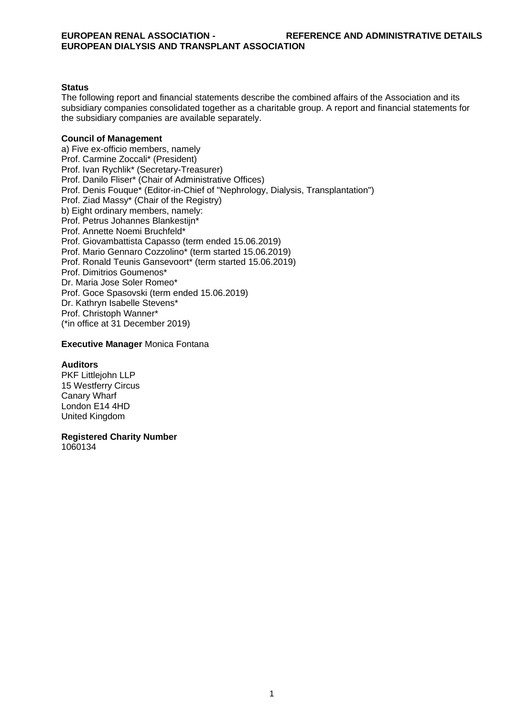#### **Status**

The following report and financial statements describe the combined affairs of the Association and its subsidiary companies consolidated together as a charitable group. A report and financial statements for the subsidiary companies are available separately.

#### **Council of Management**

a) Five ex-officio members, namely Prof. Carmine Zoccali\* (President) Prof. Ivan Rychlik\* (Secretary-Treasurer) Prof. Danilo Fliser\* (Chair of Administrative Offices) Prof. Denis Fouque\* (Editor-in-Chief of "Nephrology, Dialysis, Transplantation") Prof. Ziad Massy\* (Chair of the Registry) b) Eight ordinary members, namely: Prof. Petrus Johannes Blankestijn\* Prof. Annette Noemi Bruchfeld\* Prof. Giovambattista Capasso (term ended 15.06.2019) Prof. Mario Gennaro Cozzolino\* (term started 15.06.2019) Prof. Ronald Teunis Gansevoort\* (term started 15.06.2019) Prof. Dimitrios Goumenos\* Dr. Maria Jose Soler Romeo\* Prof. Goce Spasovski (term ended 15.06.2019) Dr. Kathryn Isabelle Stevens\* Prof. Christoph Wanner\* (\*in office at 31 December 2019)

#### **Executive Manager** Monica Fontana

#### **Auditors**

PKF Littlejohn LLP 15 Westferry Circus Canary Wharf London E14 4HD United Kingdom

**Registered Charity Number** 

1060134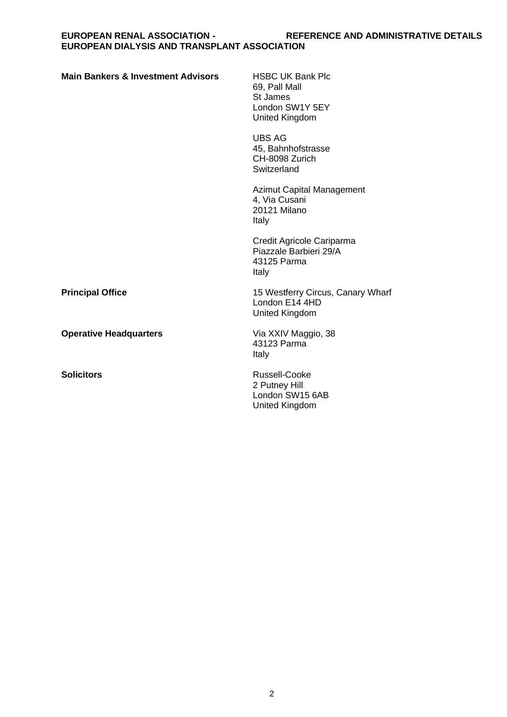| <b>Main Bankers &amp; Investment Advisors</b> | <b>HSBC UK Bank Plc</b><br>69, Pall Mall<br>St James<br>London SW1Y 5EY<br>United Kingdom |
|-----------------------------------------------|-------------------------------------------------------------------------------------------|
|                                               | <b>UBS AG</b><br>45, Bahnhofstrasse<br>CH-8098 Zurich<br>Switzerland                      |
|                                               | Azimut Capital Management<br>4, Via Cusani<br>20121 Milano<br>Italy                       |
|                                               | Credit Agricole Cariparma<br>Piazzale Barbieri 29/A<br>43125 Parma<br>Italy               |
| <b>Principal Office</b>                       | 15 Westferry Circus, Canary Wharf<br>London E14 4HD<br>United Kingdom                     |
| <b>Operative Headquarters</b>                 | Via XXIV Maggio, 38<br>43123 Parma<br>Italy                                               |
| <b>Solicitors</b>                             | Russell-Cooke<br>2 Putney Hill<br>London SW15 6AB<br>United Kingdom                       |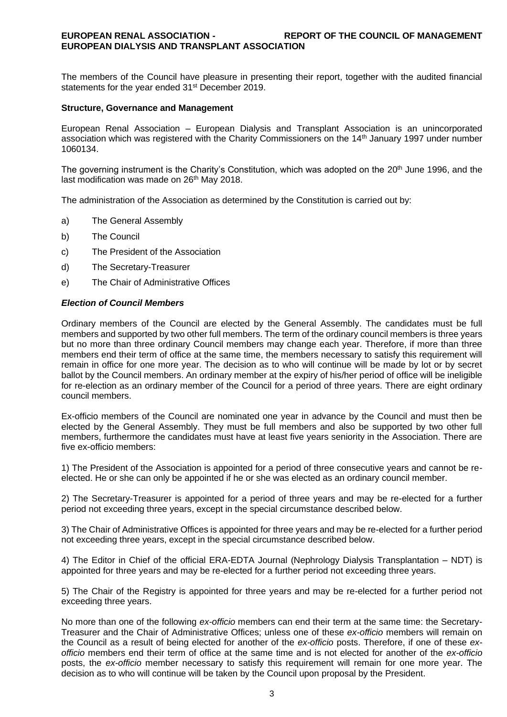#### **EUROPEAN RENAL ASSOCIATION - REPORT OF THE COUNCIL OF MANAGEMENT EUROPEAN DIALYSIS AND TRANSPLANT ASSOCIATION**

The members of the Council have pleasure in presenting their report, together with the audited financial statements for the year ended 31<sup>st</sup> December 2019.

#### **Structure, Governance and Management**

European Renal Association – European Dialysis and Transplant Association is an unincorporated association which was registered with the Charity Commissioners on the 14th January 1997 under number 1060134.

The governing instrument is the Charity's Constitution, which was adopted on the 20th June 1996, and the last modification was made on 26<sup>th</sup> May 2018.

The administration of the Association as determined by the Constitution is carried out by:

- a) The General Assembly
- b) The Council
- c) The President of the Association
- d) The Secretary-Treasurer
- e) The Chair of Administrative Offices

#### *Election of Council Members*

Ordinary members of the Council are elected by the General Assembly. The candidates must be full members and supported by two other full members. The term of the ordinary council members is three years but no more than three ordinary Council members may change each year. Therefore, if more than three members end their term of office at the same time, the members necessary to satisfy this requirement will remain in office for one more year. The decision as to who will continue will be made by lot or by secret ballot by the Council members. An ordinary member at the expiry of his/her period of office will be ineligible for re-election as an ordinary member of the Council for a period of three years. There are eight ordinary council members.

Ex-officio members of the Council are nominated one year in advance by the Council and must then be elected by the General Assembly. They must be full members and also be supported by two other full members, furthermore the candidates must have at least five years seniority in the Association. There are five ex-officio members:

1) The President of the Association is appointed for a period of three consecutive years and cannot be reelected. He or she can only be appointed if he or she was elected as an ordinary council member.

2) The Secretary-Treasurer is appointed for a period of three years and may be re-elected for a further period not exceeding three years, except in the special circumstance described below.

3) The Chair of Administrative Offices is appointed for three years and may be re-elected for a further period not exceeding three years, except in the special circumstance described below.

4) The Editor in Chief of the official ERA-EDTA Journal (Nephrology Dialysis Transplantation – NDT) is appointed for three years and may be re-elected for a further period not exceeding three years.

5) The Chair of the Registry is appointed for three years and may be re-elected for a further period not exceeding three years.

No more than one of the following *ex-officio* members can end their term at the same time: the Secretary-Treasurer and the Chair of Administrative Offices; unless one of these *ex-officio* members will remain on the Council as a result of being elected for another of the *ex-officio* posts. Therefore, if one of these *exofficio* members end their term of office at the same time and is not elected for another of the *ex-officio*  posts, the *ex-officio* member necessary to satisfy this requirement will remain for one more year. The decision as to who will continue will be taken by the Council upon proposal by the President.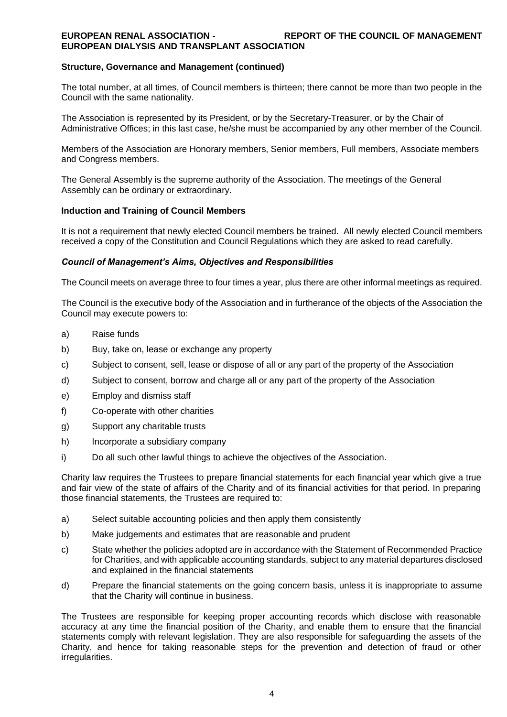#### **EUROPEAN RENAL ASSOCIATION - REPORT OF THE COUNCIL OF MANAGEMENT EUROPEAN DIALYSIS AND TRANSPLANT ASSOCIATION**

#### **Structure, Governance and Management (continued)**

The total number, at all times, of Council members is thirteen; there cannot be more than two people in the Council with the same nationality.

The Association is represented by its President, or by the Secretary-Treasurer, or by the Chair of Administrative Offices; in this last case, he/she must be accompanied by any other member of the Council.

Members of the Association are Honorary members, Senior members, Full members, Associate members and Congress members.

The General Assembly is the supreme authority of the Association. The meetings of the General Assembly can be ordinary or extraordinary.

#### **Induction and Training of Council Members**

It is not a requirement that newly elected Council members be trained. All newly elected Council members received a copy of the Constitution and Council Regulations which they are asked to read carefully.

#### *Council of Management's Aims, Objectives and Responsibilities*

The Council meets on average three to four times a year, plus there are other informal meetings as required.

The Council is the executive body of the Association and in furtherance of the objects of the Association the Council may execute powers to:

- a) Raise funds
- b) Buy, take on, lease or exchange any property
- c) Subject to consent, sell, lease or dispose of all or any part of the property of the Association
- d) Subject to consent, borrow and charge all or any part of the property of the Association
- e) Employ and dismiss staff
- f) Co-operate with other charities
- g) Support any charitable trusts
- h) Incorporate a subsidiary company
- i) Do all such other lawful things to achieve the objectives of the Association.

Charity law requires the Trustees to prepare financial statements for each financial year which give a true and fair view of the state of affairs of the Charity and of its financial activities for that period. In preparing those financial statements, the Trustees are required to:

- a) Select suitable accounting policies and then apply them consistently
- b) Make judgements and estimates that are reasonable and prudent
- c) State whether the policies adopted are in accordance with the Statement of Recommended Practice for Charities, and with applicable accounting standards, subject to any material departures disclosed and explained in the financial statements
- d) Prepare the financial statements on the going concern basis, unless it is inappropriate to assume that the Charity will continue in business.

The Trustees are responsible for keeping proper accounting records which disclose with reasonable accuracy at any time the financial position of the Charity, and enable them to ensure that the financial statements comply with relevant legislation. They are also responsible for safeguarding the assets of the Charity, and hence for taking reasonable steps for the prevention and detection of fraud or other irregularities.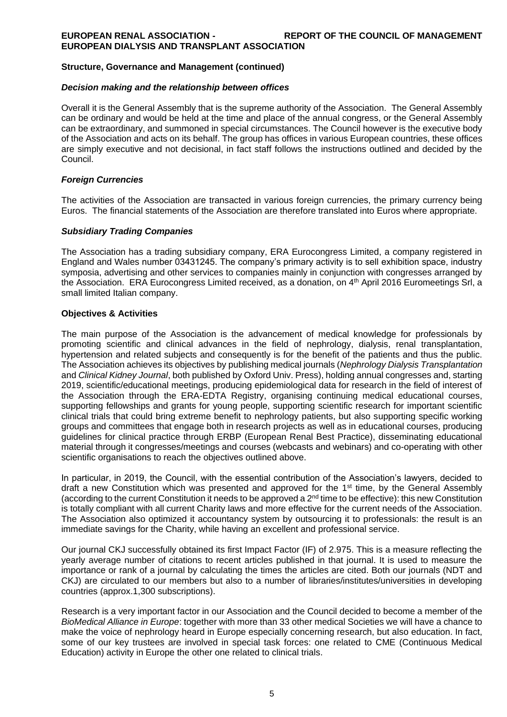#### **Structure, Governance and Management (continued)**

#### *Decision making and the relationship between offices*

Overall it is the General Assembly that is the supreme authority of the Association. The General Assembly can be ordinary and would be held at the time and place of the annual congress, or the General Assembly can be extraordinary, and summoned in special circumstances. The Council however is the executive body of the Association and acts on its behalf. The group has offices in various European countries, these offices are simply executive and not decisional, in fact staff follows the instructions outlined and decided by the Council.

#### *Foreign Currencies*

The activities of the Association are transacted in various foreign currencies, the primary currency being Euros. The financial statements of the Association are therefore translated into Euros where appropriate.

#### *Subsidiary Trading Companies*

The Association has a trading subsidiary company, ERA Eurocongress Limited, a company registered in England and Wales number 03431245. The company's primary activity is to sell exhibition space, industry symposia, advertising and other services to companies mainly in conjunction with congresses arranged by the Association. ERA Eurocongress Limited received, as a donation, on 4<sup>th</sup> April 2016 Euromeetings Srl, a small limited Italian company.

#### **Objectives & Activities**

The main purpose of the Association is the advancement of medical knowledge for professionals by promoting scientific and clinical advances in the field of nephrology, dialysis, renal transplantation, hypertension and related subjects and consequently is for the benefit of the patients and thus the public. The Association achieves its objectives by publishing medical journals (*Nephrology Dialysis Transplantation*  and *Clinical Kidney Journal*, both published by Oxford Univ. Press), holding annual congresses and, starting 2019, scientific/educational meetings, producing epidemiological data for research in the field of interest of the Association through the ERA-EDTA Registry, organising continuing medical educational courses, supporting fellowships and grants for young people, supporting scientific research for important scientific clinical trials that could bring extreme benefit to nephrology patients, but also supporting specific working groups and committees that engage both in research projects as well as in educational courses, producing guidelines for clinical practice through ERBP (European Renal Best Practice), disseminating educational material through it congresses/meetings and courses (webcasts and webinars) and co-operating with other scientific organisations to reach the objectives outlined above.

In particular, in 2019, the Council, with the essential contribution of the Association's lawyers, decided to draft a new Constitution which was presented and approved for the 1<sup>st</sup> time, by the General Assembly (according to the current Constitution it needs to be approved a 2nd time to be effective): this new Constitution is totally compliant with all current Charity laws and more effective for the current needs of the Association. The Association also optimized it accountancy system by outsourcing it to professionals: the result is an immediate savings for the Charity, while having an excellent and professional service.

Our journal CKJ successfully obtained its first Impact Factor (IF) of 2.975. This is a measure reflecting the yearly average number of citations to recent articles published in that journal. It is used to measure the importance or rank of a journal by calculating the times the articles are cited. Both our journals (NDT and CKJ) are circulated to our members but also to a number of libraries/institutes/universities in developing countries (approx.1,300 subscriptions).

Research is a very important factor in our Association and the Council decided to become a member of the *BioMedical Alliance in Europe*: together with more than 33 other medical Societies we will have a chance to make the voice of nephrology heard in Europe especially concerning research, but also education. In fact, some of our key trustees are involved in special task forces: one related to CME (Continuous Medical Education) activity in Europe the other one related to clinical trials.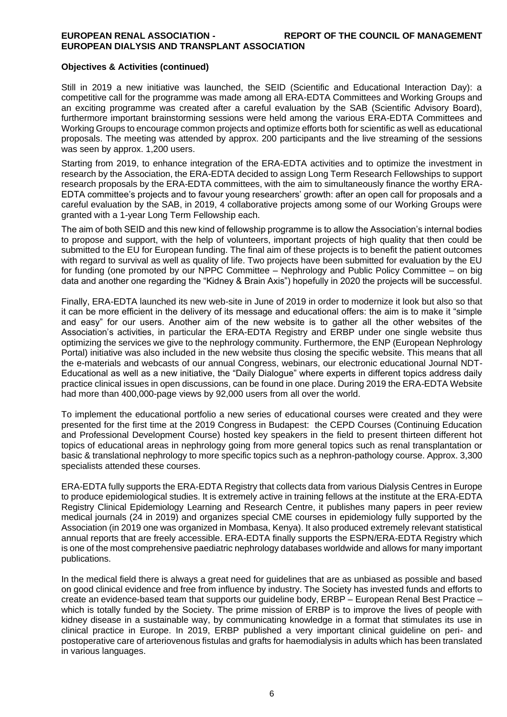#### **Objectives & Activities (continued)**

Still in 2019 a new initiative was launched, the SEID (Scientific and Educational Interaction Day): a competitive call for the programme was made among all ERA-EDTA Committees and Working Groups and an exciting programme was created after a careful evaluation by the SAB (Scientific Advisory Board), furthermore important brainstorming sessions were held among the various ERA-EDTA Committees and Working Groups to encourage common projects and optimize efforts both for scientific as well as educational proposals. The meeting was attended by approx. 200 participants and the live streaming of the sessions was seen by approx. 1,200 users.

Starting from 2019, to enhance integration of the ERA-EDTA activities and to optimize the investment in research by the Association, the ERA-EDTA decided to assign Long Term Research Fellowships to support research proposals by the ERA-EDTA committees, with the aim to simultaneously finance the worthy ERA-EDTA committee's projects and to favour young researchers' growth: after an open call for proposals and a careful evaluation by the SAB, in 2019, 4 collaborative projects among some of our Working Groups were granted with a 1-year Long Term Fellowship each.

The aim of both SEID and this new kind of fellowship programme is to allow the Association's internal bodies to propose and support, with the help of volunteers, important projects of high quality that then could be submitted to the EU for European funding. The final aim of these projects is to benefit the patient outcomes with regard to survival as well as quality of life. Two projects have been submitted for evaluation by the EU for funding (one promoted by our NPPC Committee – Nephrology and Public Policy Committee – on big data and another one regarding the "Kidney & Brain Axis") hopefully in 2020 the projects will be successful.

Finally, ERA-EDTA launched its new web-site in June of 2019 in order to modernize it look but also so that it can be more efficient in the delivery of its message and educational offers: the aim is to make it "simple and easy" for our users. Another aim of the new website is to gather all the other websites of the Association's activities, in particular the ERA-EDTA Registry and ERBP under one single website thus optimizing the services we give to the nephrology community. Furthermore, the ENP (European Nephrology Portal) initiative was also included in the new website thus closing the specific website. This means that all the e-materials and webcasts of our annual Congress, webinars, our electronic educational Journal NDT-Educational as well as a new initiative, the "Daily Dialogue" where experts in different topics address daily practice clinical issues in open discussions, can be found in one place. During 2019 the ERA-EDTA Website had more than 400,000-page views by 92,000 users from all over the world.

To implement the educational portfolio a new series of educational courses were created and they were presented for the first time at the 2019 Congress in Budapest: the CEPD Courses (Continuing Education and Professional Development Course) hosted key speakers in the field to present thirteen different hot topics of educational areas in nephrology going from more general topics such as renal transplantation or basic & translational nephrology to more specific topics such as a nephron-pathology course. Approx. 3,300 specialists attended these courses.

ERA-EDTA fully supports the ERA-EDTA Registry that collects data from various Dialysis Centres in Europe to produce epidemiological studies. It is extremely active in training fellows at the institute at the ERA-EDTA Registry Clinical Epidemiology Learning and Research Centre, it publishes many papers in peer review medical journals (24 in 2019) and organizes special CME courses in epidemiology fully supported by the Association (in 2019 one was organized in Mombasa, Kenya). It also produced extremely relevant statistical annual reports that are freely accessible. ERA-EDTA finally supports the ESPN/ERA-EDTA Registry which is one of the most comprehensive paediatric nephrology databases worldwide and allows for many important publications.

In the medical field there is always a great need for guidelines that are as unbiased as possible and based on good clinical evidence and free from influence by industry. The Society has invested funds and efforts to create an evidence-based team that supports our guideline body, ERBP – European Renal Best Practice – which is totally funded by the Society. The prime mission of ERBP is to improve the lives of people with kidney disease in a sustainable way, by communicating knowledge in a format that stimulates its use in clinical practice in Europe. In 2019, ERBP published a very important clinical guideline on peri- and postoperative care of arteriovenous fistulas and grafts for haemodialysis in adults which has been translated in various languages.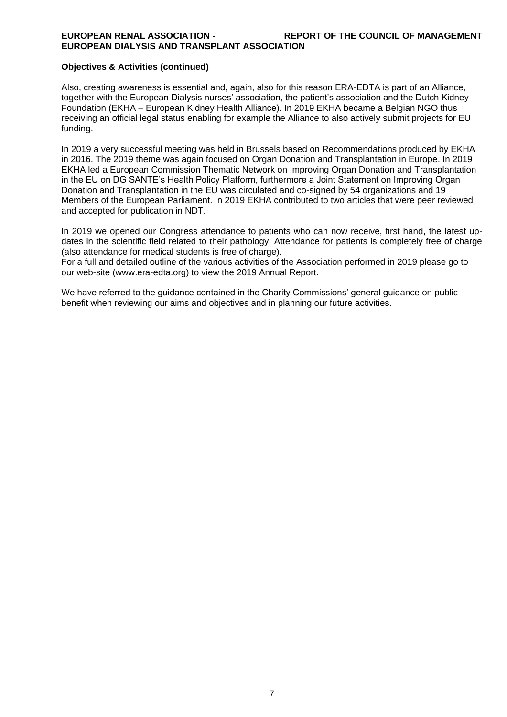#### **EUROPEAN RENAL ASSOCIATION - REPORT OF THE COUNCIL OF MANAGEMENT EUROPEAN DIALYSIS AND TRANSPLANT ASSOCIATION**

#### **Objectives & Activities (continued)**

Also, creating awareness is essential and, again, also for this reason ERA-EDTA is part of an Alliance, together with the European Dialysis nurses' association, the patient's association and the Dutch Kidney Foundation (EKHA – European Kidney Health Alliance). In 2019 EKHA became a Belgian NGO thus receiving an official legal status enabling for example the Alliance to also actively submit projects for EU funding.

In 2019 a very successful meeting was held in Brussels based on Recommendations produced by EKHA in 2016. The 2019 theme was again focused on Organ Donation and Transplantation in Europe. In 2019 EKHA led a European Commission Thematic Network on Improving Organ Donation and Transplantation in the EU on DG SANTE's Health Policy Platform, furthermore a Joint Statement on Improving Organ Donation and Transplantation in the EU was circulated and co-signed by 54 organizations and 19 Members of the European Parliament. In 2019 EKHA contributed to two articles that were peer reviewed and accepted for publication in NDT.

In 2019 we opened our Congress attendance to patients who can now receive, first hand, the latest updates in the scientific field related to their pathology. Attendance for patients is completely free of charge (also attendance for medical students is free of charge).

For a full and detailed outline of the various activities of the Association performed in 2019 please go to our web-site (www.era-edta.org) to view the 2019 Annual Report.

We have referred to the guidance contained in the Charity Commissions' general guidance on public benefit when reviewing our aims and objectives and in planning our future activities.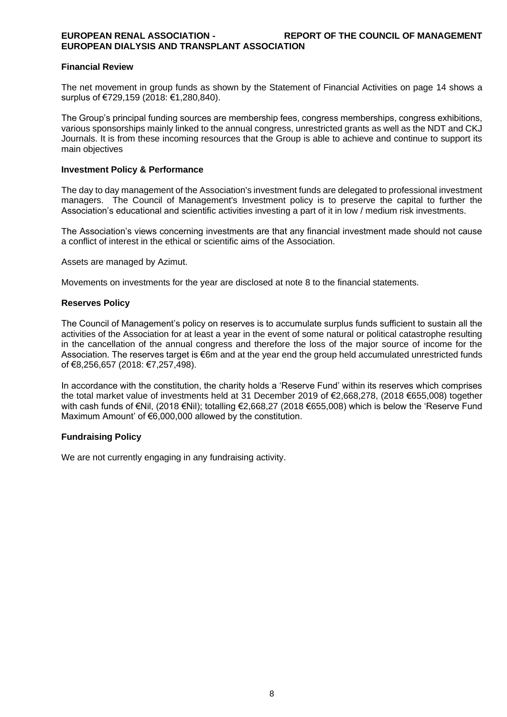#### **Financial Review**

The net movement in group funds as shown by the Statement of Financial Activities on page 14 shows a surplus of €729,159 (2018: €1,280,840).

The Group's principal funding sources are membership fees, congress memberships, congress exhibitions, various sponsorships mainly linked to the annual congress, unrestricted grants as well as the NDT and CKJ Journals. It is from these incoming resources that the Group is able to achieve and continue to support its main objectives

#### **Investment Policy & Performance**

The day to day management of the Association's investment funds are delegated to professional investment managers. The Council of Management's Investment policy is to preserve the capital to further the Association's educational and scientific activities investing a part of it in low / medium risk investments.

The Association's views concerning investments are that any financial investment made should not cause a conflict of interest in the ethical or scientific aims of the Association.

Assets are managed by Azimut.

Movements on investments for the year are disclosed at note 8 to the financial statements.

#### **Reserves Policy**

The Council of Management's policy on reserves is to accumulate surplus funds sufficient to sustain all the activities of the Association for at least a year in the event of some natural or political catastrophe resulting in the cancellation of the annual congress and therefore the loss of the major source of income for the Association. The reserves target is €6m and at the year end the group held accumulated unrestricted funds of €8,256,657 (2018: €7,257,498).

In accordance with the constitution, the charity holds a 'Reserve Fund' within its reserves which comprises the total market value of investments held at 31 December 2019 of €2,668,278, (2018 €655,008) together with cash funds of €Nil, (2018 €Nil); totalling €2,668,27 (2018 €655,008) which is below the 'Reserve Fund Maximum Amount' of €6,000,000 allowed by the constitution.

#### **Fundraising Policy**

We are not currently engaging in any fundraising activity.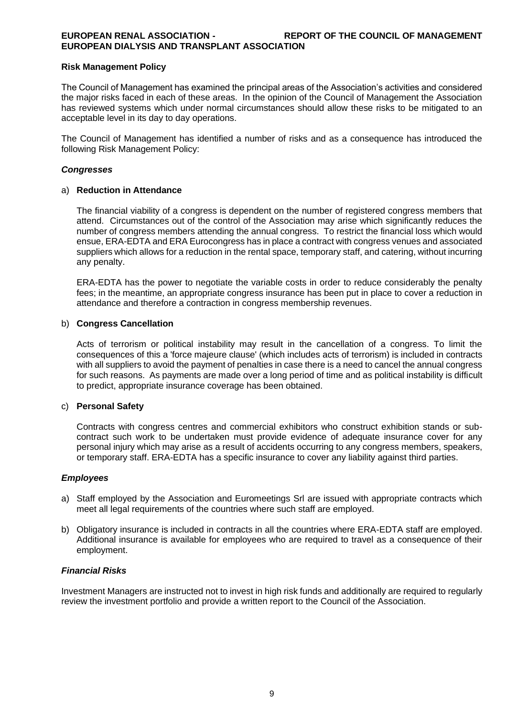#### **EUROPEAN RENAL ASSOCIATION - REPORT OF THE COUNCIL OF MANAGEMENT EUROPEAN DIALYSIS AND TRANSPLANT ASSOCIATION**

#### **Risk Management Policy**

The Council of Management has examined the principal areas of the Association's activities and considered the major risks faced in each of these areas. In the opinion of the Council of Management the Association has reviewed systems which under normal circumstances should allow these risks to be mitigated to an acceptable level in its day to day operations.

The Council of Management has identified a number of risks and as a consequence has introduced the following Risk Management Policy:

#### *Congresses*

#### a) **Reduction in Attendance**

The financial viability of a congress is dependent on the number of registered congress members that attend. Circumstances out of the control of the Association may arise which significantly reduces the number of congress members attending the annual congress. To restrict the financial loss which would ensue, ERA-EDTA and ERA Eurocongress has in place a contract with congress venues and associated suppliers which allows for a reduction in the rental space, temporary staff, and catering, without incurring any penalty.

ERA-EDTA has the power to negotiate the variable costs in order to reduce considerably the penalty fees; in the meantime, an appropriate congress insurance has been put in place to cover a reduction in attendance and therefore a contraction in congress membership revenues.

#### b) **Congress Cancellation**

Acts of terrorism or political instability may result in the cancellation of a congress. To limit the consequences of this a 'force majeure clause' (which includes acts of terrorism) is included in contracts with all suppliers to avoid the payment of penalties in case there is a need to cancel the annual congress for such reasons. As payments are made over a long period of time and as political instability is difficult to predict, appropriate insurance coverage has been obtained.

#### c) **Personal Safety**

Contracts with congress centres and commercial exhibitors who construct exhibition stands or subcontract such work to be undertaken must provide evidence of adequate insurance cover for any personal injury which may arise as a result of accidents occurring to any congress members, speakers, or temporary staff. ERA-EDTA has a specific insurance to cover any liability against third parties.

#### *Employees*

- a) Staff employed by the Association and Euromeetings Srl are issued with appropriate contracts which meet all legal requirements of the countries where such staff are employed.
- b) Obligatory insurance is included in contracts in all the countries where ERA-EDTA staff are employed. Additional insurance is available for employees who are required to travel as a consequence of their employment.

#### *Financial Risks*

Investment Managers are instructed not to invest in high risk funds and additionally are required to regularly review the investment portfolio and provide a written report to the Council of the Association.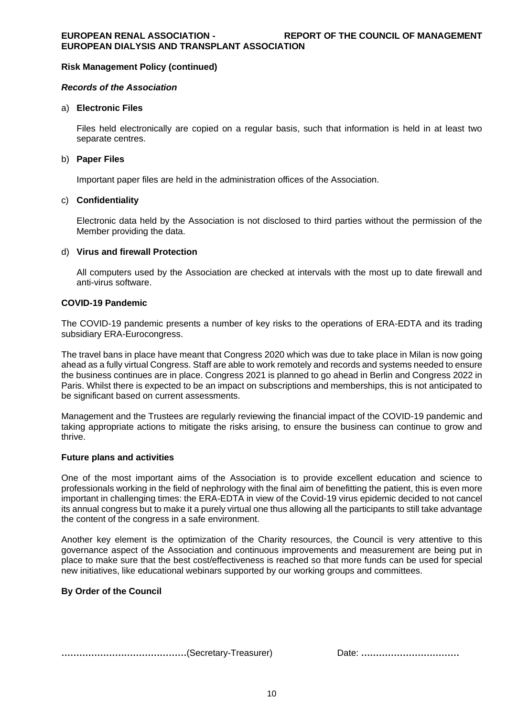#### **Risk Management Policy (continued)**

#### *Records of the Association*

#### a) **Electronic Files**

Files held electronically are copied on a regular basis, such that information is held in at least two separate centres.

#### b) **Paper Files**

Important paper files are held in the administration offices of the Association.

#### c) **Confidentiality**

Electronic data held by the Association is not disclosed to third parties without the permission of the Member providing the data.

#### d) **Virus and firewall Protection**

All computers used by the Association are checked at intervals with the most up to date firewall and anti-virus software.

#### **COVID-19 Pandemic**

The COVID-19 pandemic presents a number of key risks to the operations of ERA-EDTA and its trading subsidiary ERA-Eurocongress.

The travel bans in place have meant that Congress 2020 which was due to take place in Milan is now going ahead as a fully virtual Congress. Staff are able to work remotely and records and systems needed to ensure the business continues are in place. Congress 2021 is planned to go ahead in Berlin and Congress 2022 in Paris. Whilst there is expected to be an impact on subscriptions and memberships, this is not anticipated to be significant based on current assessments.

Management and the Trustees are regularly reviewing the financial impact of the COVID-19 pandemic and taking appropriate actions to mitigate the risks arising, to ensure the business can continue to grow and thrive.

#### **Future plans and activities**

One of the most important aims of the Association is to provide excellent education and science to professionals working in the field of nephrology with the final aim of benefitting the patient, this is even more important in challenging times: the ERA-EDTA in view of the Covid-19 virus epidemic decided to not cancel its annual congress but to make it a purely virtual one thus allowing all the participants to still take advantage the content of the congress in a safe environment.

Another key element is the optimization of the Charity resources, the Council is very attentive to this governance aspect of the Association and continuous improvements and measurement are being put in place to make sure that the best cost/effectiveness is reached so that more funds can be used for special new initiatives, like educational webinars supported by our working groups and committees.

#### **By Order of the Council**

**……………………………………**(Secretary-Treasurer) Date: **……………………………**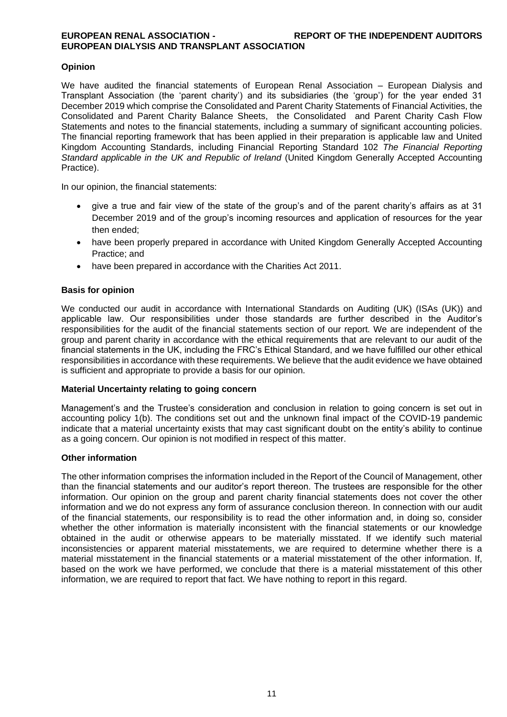### **Opinion**

We have audited the financial statements of European Renal Association – European Dialysis and Transplant Association (the 'parent charity') and its subsidiaries (the 'group') for the year ended 31 December 2019 which comprise the Consolidated and Parent Charity Statements of Financial Activities, the Consolidated and Parent Charity Balance Sheets, the Consolidated and Parent Charity Cash Flow Statements and notes to the financial statements, including a summary of significant accounting policies. The financial reporting framework that has been applied in their preparation is applicable law and United Kingdom Accounting Standards, including Financial Reporting Standard 102 *The Financial Reporting Standard applicable in the UK and Republic of Ireland* (United Kingdom Generally Accepted Accounting Practice).

In our opinion, the financial statements:

- give a true and fair view of the state of the group's and of the parent charity's affairs as at 31 December 2019 and of the group's incoming resources and application of resources for the year then ended;
- have been properly prepared in accordance with United Kingdom Generally Accepted Accounting Practice; and
- have been prepared in accordance with the Charities Act 2011.

#### **Basis for opinion**

We conducted our audit in accordance with International Standards on Auditing (UK) (ISAs (UK)) and applicable law. Our responsibilities under those standards are further described in the Auditor's responsibilities for the audit of the financial statements section of our report. We are independent of the group and parent charity in accordance with the ethical requirements that are relevant to our audit of the financial statements in the UK, including the FRC's Ethical Standard, and we have fulfilled our other ethical responsibilities in accordance with these requirements. We believe that the audit evidence we have obtained is sufficient and appropriate to provide a basis for our opinion.

#### **Material Uncertainty relating to going concern**

Management's and the Trustee's consideration and conclusion in relation to going concern is set out in accounting policy 1(b). The conditions set out and the unknown final impact of the COVID-19 pandemic indicate that a material uncertainty exists that may cast significant doubt on the entity's ability to continue as a going concern. Our opinion is not modified in respect of this matter.

#### **Other information**

The other information comprises the information included in the Report of the Council of Management, other than the financial statements and our auditor's report thereon. The trustees are responsible for the other information. Our opinion on the group and parent charity financial statements does not cover the other information and we do not express any form of assurance conclusion thereon. In connection with our audit of the financial statements, our responsibility is to read the other information and, in doing so, consider whether the other information is materially inconsistent with the financial statements or our knowledge obtained in the audit or otherwise appears to be materially misstated. If we identify such material inconsistencies or apparent material misstatements, we are required to determine whether there is a material misstatement in the financial statements or a material misstatement of the other information. If, based on the work we have performed, we conclude that there is a material misstatement of this other information, we are required to report that fact. We have nothing to report in this regard.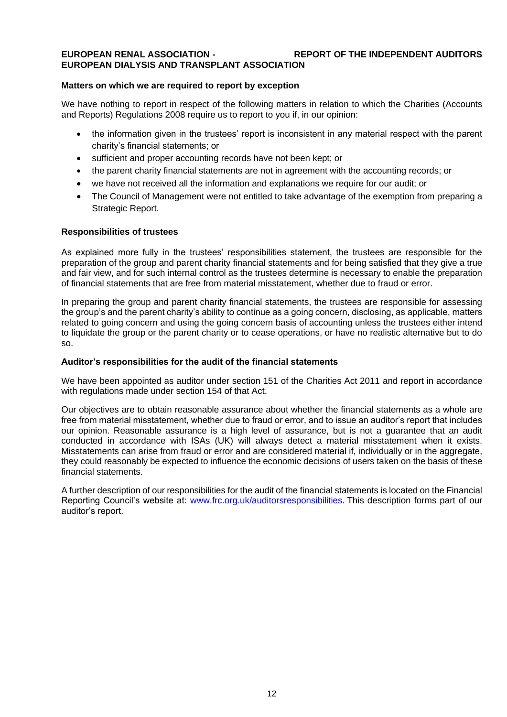#### **EUROPEAN RENAL ASSOCIATION - REPORT OF THE INDEPENDENT AUDITORS EUROPEAN DIALYSIS AND TRANSPLANT ASSOCIATION**

#### **Matters on which we are required to report by exception**

We have nothing to report in respect of the following matters in relation to which the Charities (Accounts and Reports) Regulations 2008 require us to report to you if, in our opinion:

- the information given in the trustees' report is inconsistent in any material respect with the parent charity's financial statements; or
- sufficient and proper accounting records have not been kept; or
- the parent charity financial statements are not in agreement with the accounting records; or
- we have not received all the information and explanations we require for our audit; or
- The Council of Management were not entitled to take advantage of the exemption from preparing a Strategic Report.

#### **Responsibilities of trustees**

As explained more fully in the trustees' responsibilities statement, the trustees are responsible for the preparation of the group and parent charity financial statements and for being satisfied that they give a true and fair view, and for such internal control as the trustees determine is necessary to enable the preparation of financial statements that are free from material misstatement, whether due to fraud or error.

In preparing the group and parent charity financial statements, the trustees are responsible for assessing the group's and the parent charity's ability to continue as a going concern, disclosing, as applicable, matters related to going concern and using the going concern basis of accounting unless the trustees either intend to liquidate the group or the parent charity or to cease operations, or have no realistic alternative but to do so.

#### **Auditor's responsibilities for the audit of the financial statements**

We have been appointed as auditor under section 151 of the Charities Act 2011 and report in accordance with regulations made under section 154 of that Act.

Our objectives are to obtain reasonable assurance about whether the financial statements as a whole are free from material misstatement, whether due to fraud or error, and to issue an auditor's report that includes our opinion. Reasonable assurance is a high level of assurance, but is not a guarantee that an audit conducted in accordance with ISAs (UK) will always detect a material misstatement when it exists. Misstatements can arise from fraud or error and are considered material if, individually or in the aggregate, they could reasonably be expected to influence the economic decisions of users taken on the basis of these financial statements.

A further description of our responsibilities for the audit of the financial statements is located on the Financial Reporting Council's website at: [www.frc.org.uk/auditorsresponsibilities.](http://www.frc.org.uk/auditorsresponsibilities) This description forms part of our auditor's report.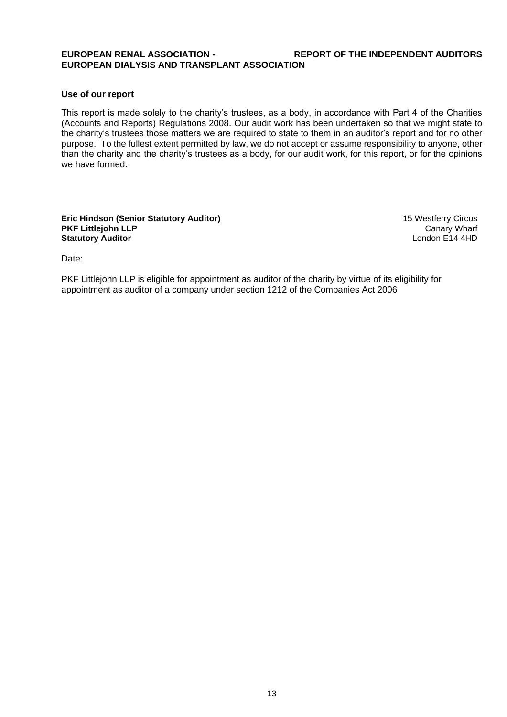#### **EUROPEAN RENAL ASSOCIATION - REPORT OF THE INDEPENDENT AUDITORS EUROPEAN DIALYSIS AND TRANSPLANT ASSOCIATION**

#### **Use of our report**

This report is made solely to the charity's trustees, as a body, in accordance with Part 4 of the Charities (Accounts and Reports) Regulations 2008. Our audit work has been undertaken so that we might state to the charity's trustees those matters we are required to state to them in an auditor's report and for no other purpose. To the fullest extent permitted by law, we do not accept or assume responsibility to anyone, other than the charity and the charity's trustees as a body, for our audit work, for this report, or for the opinions we have formed.

#### **Eric Hindson (Senior Statutory Auditor)** 15 Westferry Circus<br>PKF Littlejohn LLP Canary Wharf PKF Littlejohn LLP<br> **PKF Littlejohn LLP** Canary Wharf<br> **Statutory Auditor Statutory Auditor**

Date:

PKF Littlejohn LLP is eligible for appointment as auditor of the charity by virtue of its eligibility for appointment as auditor of a company under section 1212 of the Companies Act 2006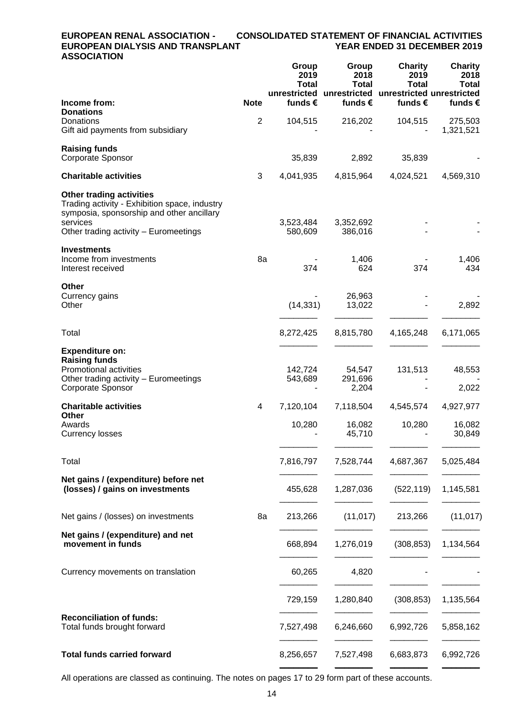#### **EUROPEAN RENAL ASSOCIATION - CONSOLIDATED STATEMENT OF FINANCIAL ACTIVITIES EUROPEAN DIALYSIS AND TRANSPLANT ASSOCIATION**

|                                                                                                                                                      |                | Group<br>2019<br><b>Total</b> | Group<br>2018<br><b>Total</b><br>unrestricted unrestricted unrestricted unrestricted | <b>Charity</b><br>2019<br><b>Total</b> | <b>Charity</b><br>2018<br><b>Total</b> |
|------------------------------------------------------------------------------------------------------------------------------------------------------|----------------|-------------------------------|--------------------------------------------------------------------------------------|----------------------------------------|----------------------------------------|
| Income from:<br><b>Donations</b>                                                                                                                     | <b>Note</b>    | funds $\epsilon$              | funds $\epsilon$                                                                     | funds €                                | funds €                                |
| Donations<br>Gift aid payments from subsidiary                                                                                                       | $\overline{2}$ | 104,515                       | 216,202                                                                              | 104,515                                | 275,503<br>1,321,521                   |
| <b>Raising funds</b><br>Corporate Sponsor                                                                                                            |                | 35,839                        | 2,892                                                                                | 35,839                                 |                                        |
| <b>Charitable activities</b>                                                                                                                         | 3              | 4,041,935                     | 4,815,964                                                                            | 4,024,521                              | 4,569,310                              |
| <b>Other trading activities</b><br>Trading activity - Exhibition space, industry<br>symposia, sponsorship and other ancillary<br>services            |                | 3,523,484                     | 3,352,692                                                                            |                                        |                                        |
| Other trading activity - Euromeetings                                                                                                                |                | 580,609                       | 386,016                                                                              |                                        |                                        |
| <b>Investments</b><br>Income from investments<br>Interest received                                                                                   | 8a             | 374                           | 1,406<br>624                                                                         | 374                                    | 1,406<br>434                           |
| <b>Other</b><br>Currency gains<br>Other                                                                                                              |                | (14, 331)                     | 26,963<br>13,022                                                                     |                                        | 2,892                                  |
| Total                                                                                                                                                |                | 8,272,425                     | 8,815,780                                                                            | 4,165,248                              | 6,171,065                              |
| <b>Expenditure on:</b><br><b>Raising funds</b><br><b>Promotional activities</b><br>Other trading activity - Euromeetings<br><b>Corporate Sponsor</b> |                | 142,724<br>543,689            | 54,547<br>291,696<br>2,204                                                           | 131,513                                | 48,553<br>2,022                        |
| <b>Charitable activities</b>                                                                                                                         | 4              | 7,120,104                     | 7,118,504                                                                            | 4,545,574                              | 4,927,977                              |
| <b>Other</b><br>Awards<br><b>Currency losses</b>                                                                                                     |                | 10,280                        | 16,082<br>45,710                                                                     | 10,280                                 | 16,082<br>30,849                       |
| Total                                                                                                                                                |                | 7,816,797                     | 7,528,744                                                                            | 4,687,367                              | 5,025,484                              |
| Net gains / (expenditure) before net<br>(losses) / gains on investments                                                                              |                | 455,628                       | 1,287,036                                                                            | (522, 119)                             | 1,145,581                              |
| Net gains / (losses) on investments                                                                                                                  | 8a             | 213,266                       | (11, 017)                                                                            | 213,266                                | (11, 017)                              |
| Net gains / (expenditure) and net<br>movement in funds                                                                                               |                | 668,894                       | 1,276,019                                                                            | (308, 853)                             | 1,134,564                              |
| Currency movements on translation                                                                                                                    |                | 60,265                        | 4,820                                                                                |                                        |                                        |
|                                                                                                                                                      |                | 729,159                       | 1,280,840                                                                            | (308, 853)                             | 1,135,564                              |
| <b>Reconciliation of funds:</b><br>Total funds brought forward                                                                                       |                | 7,527,498                     | 6,246,660                                                                            | 6,992,726                              | 5,858,162                              |
| <b>Total funds carried forward</b>                                                                                                                   |                | 8,256,657                     | 7,527,498                                                                            | 6,683,873                              | 6,992,726                              |

All operations are classed as continuing. The notes on pages 17 to 29 form part of these accounts.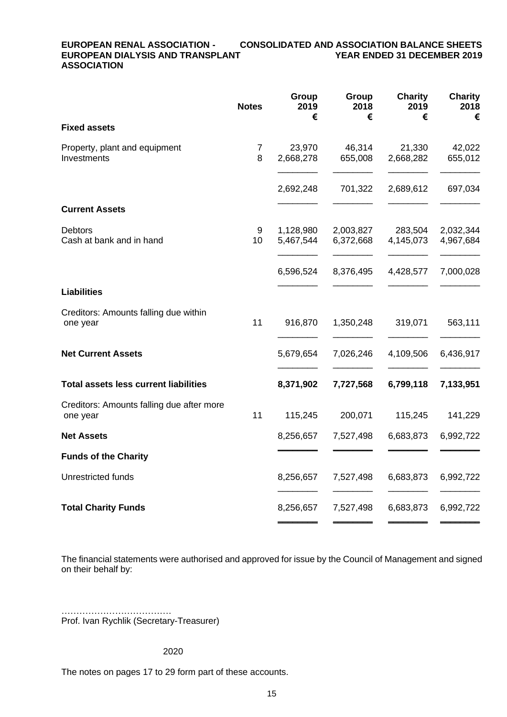#### **EUROPEAN RENAL ASSOCIATION - CONSOLIDATED AND ASSOCIATION BALANCE SHEETS EUROPEAN DIALYSIS AND TRANSPLANT ASSOCIATION**

|                                                       | <b>Notes</b>        | Group<br>2019<br>€     | Group<br>2018<br>€     | <b>Charity</b><br>2019<br>€ | <b>Charity</b><br>2018<br>€ |
|-------------------------------------------------------|---------------------|------------------------|------------------------|-----------------------------|-----------------------------|
| <b>Fixed assets</b>                                   |                     |                        |                        |                             |                             |
| Property, plant and equipment<br>Investments          | $\overline{7}$<br>8 | 23,970<br>2,668,278    | 46,314<br>655,008      | 21,330<br>2,668,282         | 42,022<br>655,012           |
|                                                       |                     | 2,692,248              | 701,322                | 2,689,612                   | 697,034                     |
| <b>Current Assets</b>                                 |                     |                        |                        |                             |                             |
| <b>Debtors</b><br>Cash at bank and in hand            | 9<br>10             | 1,128,980<br>5,467,544 | 2,003,827<br>6,372,668 | 283,504<br>4,145,073        | 2,032,344<br>4,967,684      |
|                                                       |                     | 6,596,524              | 8,376,495              | 4,428,577                   | 7,000,028                   |
| <b>Liabilities</b>                                    |                     |                        |                        |                             |                             |
| Creditors: Amounts falling due within<br>one year     | 11                  | 916,870                | 1,350,248              | 319,071                     | 563,111                     |
| <b>Net Current Assets</b>                             |                     | 5,679,654              | 7,026,246              | 4,109,506                   | 6,436,917                   |
| <b>Total assets less current liabilities</b>          |                     | 8,371,902              | 7,727,568              | 6,799,118                   | 7,133,951                   |
| Creditors: Amounts falling due after more<br>one year | 11                  | 115,245                | 200,071                | 115,245                     | 141,229                     |
| <b>Net Assets</b>                                     |                     | 8,256,657              | 7,527,498              | 6,683,873                   | 6,992,722                   |
| <b>Funds of the Charity</b>                           |                     |                        |                        |                             |                             |
| Unrestricted funds                                    |                     | 8,256,657              | 7,527,498              | 6,683,873                   | 6,992,722                   |
| <b>Total Charity Funds</b>                            |                     | 8,256,657              | 7,527,498              | 6,683,873                   | 6,992,722                   |

The financial statements were authorised and approved for issue by the Council of Management and signed on their behalf by:

………………………………… Prof. Ivan Rychlik (Secretary-Treasurer)

#### 2020

The notes on pages 17 to 29 form part of these accounts.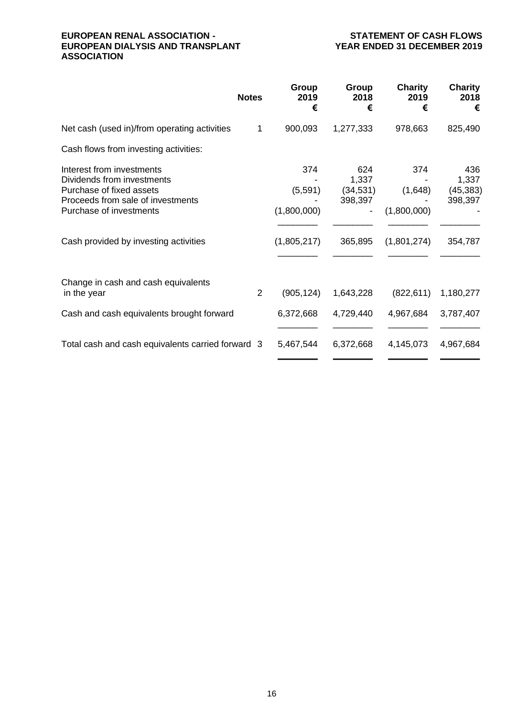#### **EUROPEAN RENAL ASSOCIATION - STATEMENT OF CASH FLOWS EUROPEAN DIALYSIS AND TRANSPLANT ASSOCIATION**

|                                                                                                                                                                                              | <b>Notes</b>   | Group<br>2019<br>€                           | Group<br>2018<br>€                              | <b>Charity</b><br>2019<br>€                  | <b>Charity</b><br>2018<br>€                     |
|----------------------------------------------------------------------------------------------------------------------------------------------------------------------------------------------|----------------|----------------------------------------------|-------------------------------------------------|----------------------------------------------|-------------------------------------------------|
| Net cash (used in)/from operating activities                                                                                                                                                 | $\mathbf{1}$   | 900,093                                      | 1,277,333                                       | 978,663                                      | 825,490                                         |
| Cash flows from investing activities:                                                                                                                                                        |                |                                              |                                                 |                                              |                                                 |
| Interest from investments<br>Dividends from investments<br>Purchase of fixed assets<br>Proceeds from sale of investments<br>Purchase of investments<br>Cash provided by investing activities |                | 374<br>(5,591)<br>(1,800,000)<br>(1,805,217) | 624<br>1,337<br>(34, 531)<br>398,397<br>365,895 | 374<br>(1,648)<br>(1,800,000)<br>(1,801,274) | 436<br>1,337<br>(45, 383)<br>398,397<br>354,787 |
| Change in cash and cash equivalents<br>in the year                                                                                                                                           | $\overline{2}$ | (905, 124)                                   | 1,643,228                                       | (822, 611)                                   | 1,180,277                                       |
| Cash and cash equivalents brought forward                                                                                                                                                    |                | 6,372,668                                    | 4,729,440                                       | 4,967,684                                    | 3,787,407                                       |
| Total cash and cash equivalents carried forward 3                                                                                                                                            |                | 5,467,544                                    | 6,372,668                                       | 4,145,073                                    | 4,967,684                                       |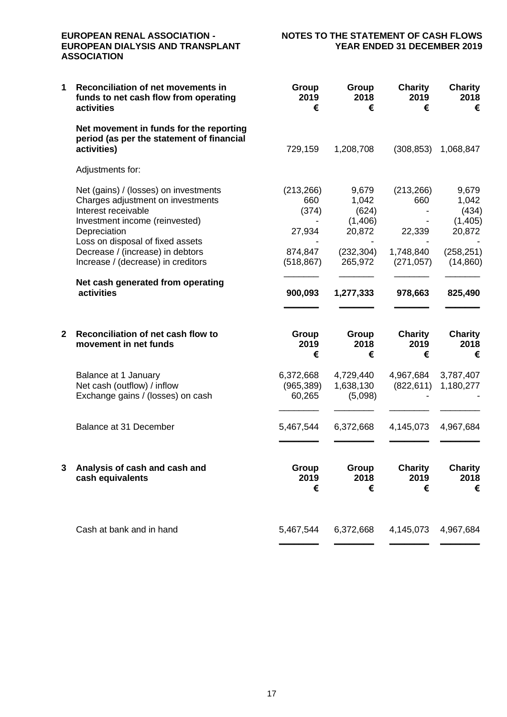### **EUROPEAN DIALYSIS AND TRANSPLANT ASSOCIATION**

## **EUROPEAN RENAL ASSOCIATION - NOTES TO THE STATEMENT OF CASH FLOWS**

| 1 | Reconciliation of net movements in<br>funds to net cash flow from operating<br>activities                                                                                                                                                                                                                            | Group<br>2019<br>€                                                       | Group<br>2018<br>€                                                                 | <b>Charity</b><br>2019<br>€                                       | <b>Charity</b><br>2018<br>€                                                        |
|---|----------------------------------------------------------------------------------------------------------------------------------------------------------------------------------------------------------------------------------------------------------------------------------------------------------------------|--------------------------------------------------------------------------|------------------------------------------------------------------------------------|-------------------------------------------------------------------|------------------------------------------------------------------------------------|
|   | Net movement in funds for the reporting<br>period (as per the statement of financial<br>activities)                                                                                                                                                                                                                  | 729,159                                                                  | 1,208,708                                                                          | (308, 853)                                                        | 1,068,847                                                                          |
|   | Adjustments for:                                                                                                                                                                                                                                                                                                     |                                                                          |                                                                                    |                                                                   |                                                                                    |
|   | Net (gains) / (losses) on investments<br>Charges adjustment on investments<br>Interest receivable<br>Investment income (reinvested)<br>Depreciation<br>Loss on disposal of fixed assets<br>Decrease / (increase) in debtors<br>Increase / (decrease) in creditors<br>Net cash generated from operating<br>activities | (213, 266)<br>660<br>(374)<br>27,934<br>874,847<br>(518, 867)<br>900,093 | 9,679<br>1,042<br>(624)<br>(1,406)<br>20,872<br>(232, 304)<br>265,972<br>1,277,333 | (213, 266)<br>660<br>22,339<br>1,748,840<br>(271, 057)<br>978,663 | 9,679<br>1,042<br>(434)<br>(1,405)<br>20,872<br>(258, 251)<br>(14, 860)<br>825,490 |
| 2 | Reconciliation of net cash flow to<br>movement in net funds                                                                                                                                                                                                                                                          | Group<br>2019<br>€                                                       | Group<br>2018<br>€                                                                 | <b>Charity</b><br>2019<br>€                                       | <b>Charity</b><br>2018<br>€                                                        |
|   | Balance at 1 January<br>Net cash (outflow) / inflow<br>Exchange gains / (losses) on cash                                                                                                                                                                                                                             | 6,372,668<br>(965, 389)<br>60,265                                        | 4,729,440<br>1,638,130<br>(5,098)                                                  | 4,967,684<br>(822, 611)                                           | 3,787,407<br>1,180,277                                                             |
|   | Balance at 31 December                                                                                                                                                                                                                                                                                               | 5,467,544                                                                | 6,372,668                                                                          | 4,145,073                                                         | 4,967,684                                                                          |
| 3 | Analysis of cash and cash and<br>cash equivalents                                                                                                                                                                                                                                                                    | Group<br>2019<br>€                                                       | Group<br>2018<br>€                                                                 | <b>Charity</b><br>2019<br>€                                       | <b>Charity</b><br>2018<br>€                                                        |
|   | Cash at bank and in hand                                                                                                                                                                                                                                                                                             | 5,467,544                                                                | 6,372,668                                                                          | 4,145,073                                                         | 4,967,684                                                                          |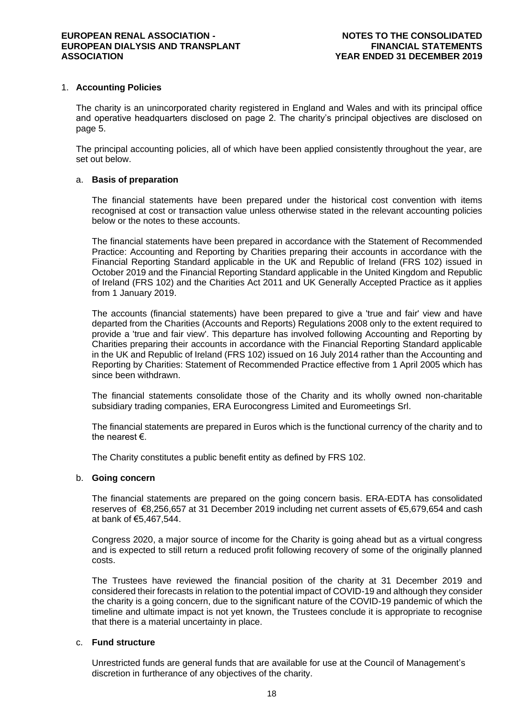#### 1. **Accounting Policies**

The charity is an unincorporated charity registered in England and Wales and with its principal office and operative headquarters disclosed on page 2. The charity's principal objectives are disclosed on page 5.

The principal accounting policies, all of which have been applied consistently throughout the year, are set out below.

#### a. **Basis of preparation**

The financial statements have been prepared under the historical cost convention with items recognised at cost or transaction value unless otherwise stated in the relevant accounting policies below or the notes to these accounts.

The financial statements have been prepared in accordance with the Statement of Recommended Practice: Accounting and Reporting by Charities preparing their accounts in accordance with the Financial Reporting Standard applicable in the UK and Republic of Ireland (FRS 102) issued in October 2019 and the Financial Reporting Standard applicable in the United Kingdom and Republic of Ireland (FRS 102) and the Charities Act 2011 and UK Generally Accepted Practice as it applies from 1 January 2019.

The accounts (financial statements) have been prepared to give a 'true and fair' view and have departed from the Charities (Accounts and Reports) Regulations 2008 only to the extent required to provide a 'true and fair view'. This departure has involved following Accounting and Reporting by Charities preparing their accounts in accordance with the Financial Reporting Standard applicable in the UK and Republic of Ireland (FRS 102) issued on 16 July 2014 rather than the Accounting and Reporting by Charities: Statement of Recommended Practice effective from 1 April 2005 which has since been withdrawn.

The financial statements consolidate those of the Charity and its wholly owned non-charitable subsidiary trading companies, ERA Eurocongress Limited and Euromeetings Srl.

The financial statements are prepared in Euros which is the functional currency of the charity and to the nearest €.

The Charity constitutes a public benefit entity as defined by FRS 102.

#### b. **Going concern**

The financial statements are prepared on the going concern basis. ERA-EDTA has consolidated reserves of €8,256,657 at 31 December 2019 including net current assets of €5,679,654 and cash at bank of €5,467,544.

Congress 2020, a major source of income for the Charity is going ahead but as a virtual congress and is expected to still return a reduced profit following recovery of some of the originally planned costs.

The Trustees have reviewed the financial position of the charity at 31 December 2019 and considered their forecasts in relation to the potential impact of COVID-19 and although they consider the charity is a going concern, due to the significant nature of the COVID-19 pandemic of which the timeline and ultimate impact is not yet known, the Trustees conclude it is appropriate to recognise that there is a material uncertainty in place.

#### c. **Fund structure**

Unrestricted funds are general funds that are available for use at the Council of Management's discretion in furtherance of any objectives of the charity.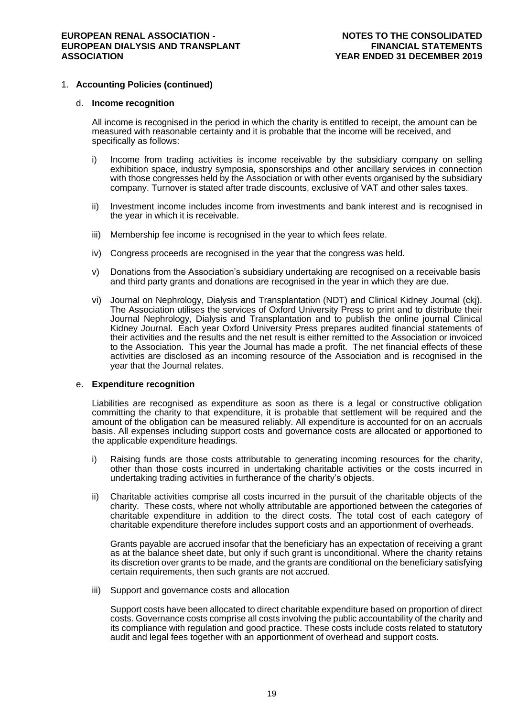#### 1. **Accounting Policies (continued)**

#### d. **Income recognition**

All income is recognised in the period in which the charity is entitled to receipt, the amount can be measured with reasonable certainty and it is probable that the income will be received, and specifically as follows:

- i) Income from trading activities is income receivable by the subsidiary company on selling exhibition space, industry symposia, sponsorships and other ancillary services in connection with those congresses held by the Association or with other events organised by the subsidiary company. Turnover is stated after trade discounts, exclusive of VAT and other sales taxes.
- ii) Investment income includes income from investments and bank interest and is recognised in the year in which it is receivable.
- iii) Membership fee income is recognised in the year to which fees relate.
- iv) Congress proceeds are recognised in the year that the congress was held.
- v) Donations from the Association's subsidiary undertaking are recognised on a receivable basis and third party grants and donations are recognised in the year in which they are due.
- vi) Journal on Nephrology, Dialysis and Transplantation (NDT) and Clinical Kidney Journal (ckj). The Association utilises the services of Oxford University Press to print and to distribute their Journal Nephrology, Dialysis and Transplantation and to publish the online journal Clinical Kidney Journal. Each year Oxford University Press prepares audited financial statements of their activities and the results and the net result is either remitted to the Association or invoiced to the Association. This year the Journal has made a profit. The net financial effects of these activities are disclosed as an incoming resource of the Association and is recognised in the year that the Journal relates.

#### e. **Expenditure recognition**

Liabilities are recognised as expenditure as soon as there is a legal or constructive obligation committing the charity to that expenditure, it is probable that settlement will be required and the amount of the obligation can be measured reliably. All expenditure is accounted for on an accruals basis. All expenses including support costs and governance costs are allocated or apportioned to the applicable expenditure headings.

- i) Raising funds are those costs attributable to generating incoming resources for the charity, other than those costs incurred in undertaking charitable activities or the costs incurred in undertaking trading activities in furtherance of the charity's objects.
- ii) Charitable activities comprise all costs incurred in the pursuit of the charitable objects of the charity. These costs, where not wholly attributable are apportioned between the categories of charitable expenditure in addition to the direct costs. The total cost of each category of charitable expenditure therefore includes support costs and an apportionment of overheads.

Grants payable are accrued insofar that the beneficiary has an expectation of receiving a grant as at the balance sheet date, but only if such grant is unconditional. Where the charity retains its discretion over grants to be made, and the grants are conditional on the beneficiary satisfying certain requirements, then such grants are not accrued.

iii) Support and governance costs and allocation

Support costs have been allocated to direct charitable expenditure based on proportion of direct costs. Governance costs comprise all costs involving the public accountability of the charity and its compliance with regulation and good practice. These costs include costs related to statutory audit and legal fees together with an apportionment of overhead and support costs.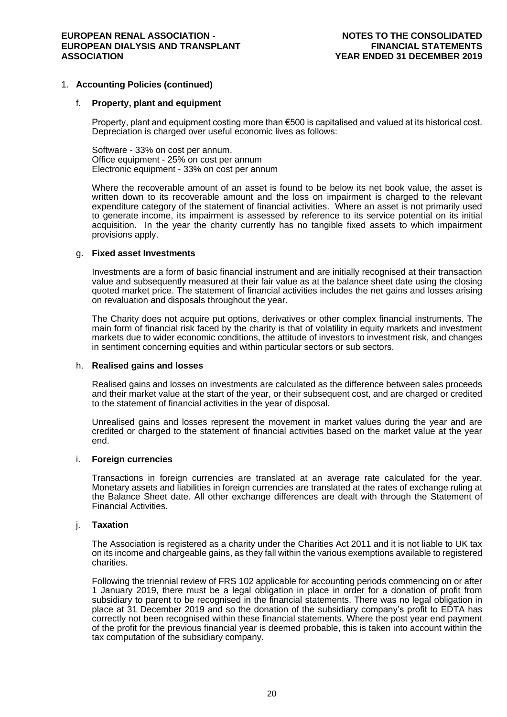#### 1. **Accounting Policies (continued)**

#### f. **Property, plant and equipment**

Property, plant and equipment costing more than €500 is capitalised and valued at its historical cost. Depreciation is charged over useful economic lives as follows:

Software - 33% on cost per annum. Office equipment - 25% on cost per annum Electronic equipment - 33% on cost per annum

Where the recoverable amount of an asset is found to be below its net book value, the asset is written down to its recoverable amount and the loss on impairment is charged to the relevant expenditure category of the statement of financial activities. Where an asset is not primarily used to generate income, its impairment is assessed by reference to its service potential on its initial acquisition. In the year the charity currently has no tangible fixed assets to which impairment provisions apply.

#### g. **Fixed asset Investments**

Investments are a form of basic financial instrument and are initially recognised at their transaction value and subsequently measured at their fair value as at the balance sheet date using the closing quoted market price. The statement of financial activities includes the net gains and losses arising on revaluation and disposals throughout the year.

The Charity does not acquire put options, derivatives or other complex financial instruments. The main form of financial risk faced by the charity is that of volatility in equity markets and investment markets due to wider economic conditions, the attitude of investors to investment risk, and changes in sentiment concerning equities and within particular sectors or sub sectors.

#### h. **Realised gains and losses**

Realised gains and losses on investments are calculated as the difference between sales proceeds and their market value at the start of the year, or their subsequent cost, and are charged or credited to the statement of financial activities in the year of disposal.

Unrealised gains and losses represent the movement in market values during the year and are credited or charged to the statement of financial activities based on the market value at the year end.

#### i. **Foreign currencies**

Transactions in foreign currencies are translated at an average rate calculated for the year. Monetary assets and liabilities in foreign currencies are translated at the rates of exchange ruling at the Balance Sheet date. All other exchange differences are dealt with through the Statement of Financial Activities.

#### j. **Taxation**

The Association is registered as a charity under the Charities Act 2011 and it is not liable to UK tax on its income and chargeable gains, as they fall within the various exemptions available to registered charities.

Following the triennial review of FRS 102 applicable for accounting periods commencing on or after 1 January 2019, there must be a legal obligation in place in order for a donation of profit from subsidiary to parent to be recognised in the financial statements. There was no legal obligation in place at 31 December 2019 and so the donation of the subsidiary company's profit to EDTA has correctly not been recognised within these financial statements. Where the post year end payment of the profit for the previous financial year is deemed probable, this is taken into account within the tax computation of the subsidiary company.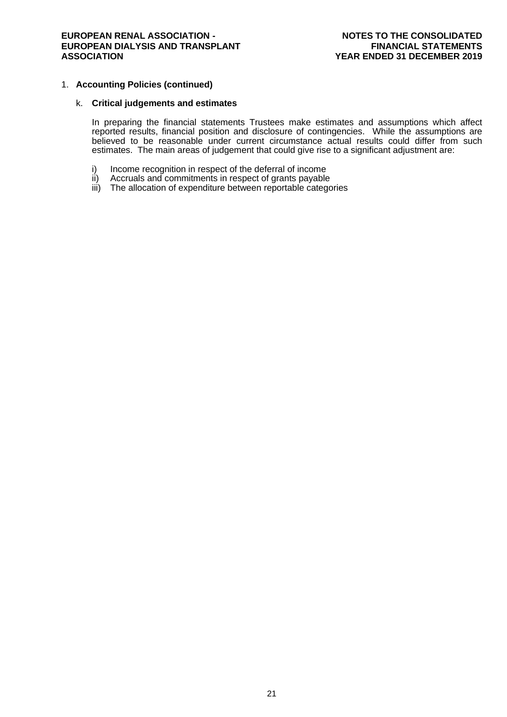#### 1. **Accounting Policies (continued)**

#### k. **Critical judgements and estimates**

In preparing the financial statements Trustees make estimates and assumptions which affect reported results, financial position and disclosure of contingencies. While the assumptions are believed to be reasonable under current circumstance actual results could differ from such estimates. The main areas of judgement that could give rise to a significant adjustment are:

- i) Income recognition in respect of the deferral of income ii) Accruals and commitments in respect of grants payable
- Accruals and commitments in respect of grants payable
- iii) The allocation of expenditure between reportable categories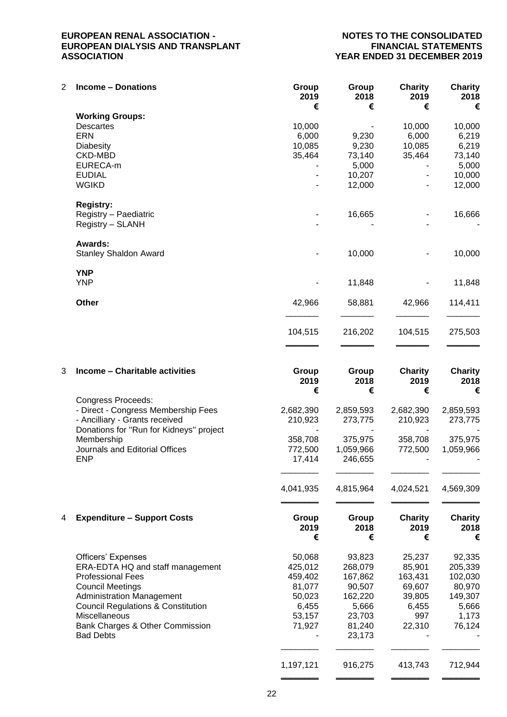## **YEAR ENDED 31 DECEMBER 2019**

| $\overline{2}$ | <b>Income - Donations</b>               | Group<br>2019<br>€ | Group<br>2018<br>€ | <b>Charity</b><br>2019<br>€ | <b>Charity</b><br>2018<br>€ |
|----------------|-----------------------------------------|--------------------|--------------------|-----------------------------|-----------------------------|
|                | <b>Working Groups:</b>                  |                    |                    |                             |                             |
|                | <b>Descartes</b>                        | 10,000             |                    | 10,000                      | 10,000                      |
|                | <b>ERN</b>                              | 6,000              | 9,230              | 6,000                       | 6,219                       |
|                | Diabesity                               | 10,085             | 9,230              | 10,085                      | 6,219                       |
|                | <b>CKD-MBD</b>                          | 35,464             | 73,140             | 35,464                      | 73,140                      |
|                | EURECA-m                                |                    | 5,000              |                             | 5,000                       |
|                | <b>EUDIAL</b>                           |                    | 10,207             | $\blacksquare$              | 10,000                      |
|                | <b>WGIKD</b>                            |                    | 12,000             |                             | 12,000                      |
|                | <b>Registry:</b>                        |                    |                    |                             |                             |
|                | Registry - Paediatric                   |                    | 16,665             |                             | 16,666                      |
|                | Registry - SLANH                        |                    |                    |                             |                             |
|                | Awards:                                 |                    |                    |                             |                             |
|                | <b>Stanley Shaldon Award</b>            |                    | 10,000             |                             | 10,000                      |
|                | <b>YNP</b>                              |                    |                    |                             |                             |
|                | <b>YNP</b>                              |                    | 11,848             |                             | 11,848                      |
|                | Other                                   | 42,966             | 58,881             | 42,966                      | 114,411                     |
|                |                                         | 104,515            | 216,202            | 104,515                     | 275,503                     |
|                |                                         |                    |                    |                             |                             |
| 3              | Income - Charitable activities          | Group              | Group              | <b>Charity</b>              | <b>Charity</b>              |
|                |                                         | 2019               | 2018               | 2019                        | 2018                        |
|                | <b>Congress Proceeds:</b>               | €                  | €                  | €                           | €                           |
|                | - Direct - Congress Membership Fees     | 2,682,390          | 2,859,593          | 2,682,390                   | 2,859,593                   |
|                | - Ancilliary - Grants received          | 210,923            | 273,775            | 210,923                     | 273,775                     |
|                | Donations for "Run for Kidneys" project |                    |                    |                             |                             |
|                | Membership                              | 358,708            | 375,975            | 358,708                     | 375,975                     |

Journals and Editorial Offices 772,500 1,059,966 772,500 1,059,966

|   |                                               | 4,041,935          | 4,815,964          | 4,024,521                   | 4,569,309                   |
|---|-----------------------------------------------|--------------------|--------------------|-----------------------------|-----------------------------|
|   |                                               |                    |                    |                             |                             |
| 4 | <b>Expenditure - Support Costs</b>            | Group<br>2019<br>€ | Group<br>2018<br>€ | <b>Charity</b><br>2019<br>€ | <b>Charity</b><br>2018<br>€ |
|   | Officers' Expenses                            | 50,068             | 93,823             | 25,237                      | 92,335                      |
|   | ERA-EDTA HQ and staff management              | 425,012            | 268,079            | 85.901                      | 205,339                     |
|   | <b>Professional Fees</b>                      | 459,402            | 167,862            | 163,431                     | 102,030                     |
|   | <b>Council Meetings</b>                       | 81,077             | 90,507             | 69,607                      | 80,970                      |
|   | <b>Administration Management</b>              | 50,023             | 162,220            | 39,805                      | 149,307                     |
|   | <b>Council Regulations &amp; Constitution</b> | 6,455              | 5,666              | 6.455                       | 5,666                       |
|   | Miscellaneous                                 | 53,157             | 23,703             | 997                         | 1,173                       |
|   | Bank Charges & Other Commission               | 71.927             | 81,240             | 22,310                      | 76,124                      |
|   | <b>Bad Debts</b>                              |                    | 23,173             |                             |                             |
|   |                                               |                    |                    |                             |                             |

ENP 17,414 246,655 - -

\_\_\_\_\_\_\_\_ \_\_\_\_\_\_\_\_ \_\_\_\_\_\_\_\_ \_\_\_\_\_\_\_\_

1,197,121 916,275 413,743 712,944 \_\_\_\_\_\_\_\_ \_\_\_\_\_\_\_\_ \_\_\_\_\_\_\_\_ \_\_\_\_\_\_\_\_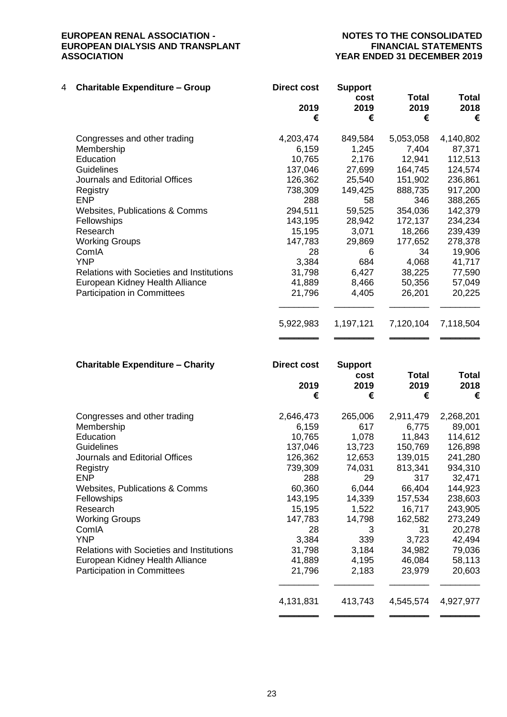## **YEAR ENDED 31 DECEMBER 2019**

| 4 | <b>Charitable Expenditure - Group</b>            | <b>Direct cost</b> | <b>Support</b><br>cost | Total     | <b>Total</b> |
|---|--------------------------------------------------|--------------------|------------------------|-----------|--------------|
|   |                                                  | 2019<br>€          | 2019<br>€              | 2019<br>€ | 2018<br>€    |
|   | Congresses and other trading                     | 4,203,474          | 849,584                | 5,053,058 | 4,140,802    |
|   | Membership                                       | 6,159              | 1,245                  | 7,404     | 87,371       |
|   | Education                                        | 10,765             | 2,176                  | 12,941    | 112,513      |
|   | <b>Guidelines</b>                                | 137,046            | 27,699                 | 164,745   | 124,574      |
|   | Journals and Editorial Offices                   | 126,362            | 25,540                 | 151,902   | 236,861      |
|   | Registry                                         | 738,309            | 149,425                | 888,735   | 917,200      |
|   | <b>ENP</b>                                       | 288                | 58                     | 346       | 388,265      |
|   | <b>Websites, Publications &amp; Comms</b>        | 294,511            | 59,525                 | 354,036   | 142,379      |
|   | Fellowships                                      | 143,195            | 28,942                 | 172,137   | 234,234      |
|   | Research                                         | 15,195             | 3,071                  | 18,266    | 239,439      |
|   | <b>Working Groups</b>                            | 147,783            | 29,869                 | 177,652   | 278,378      |
|   | ComIA                                            | 28                 | 6                      | 34        | 19,906       |
|   | <b>YNP</b>                                       | 3,384              | 684                    | 4,068     | 41,717       |
|   | <b>Relations with Societies and Institutions</b> | 31,798             | 6,427                  | 38,225    | 77,590       |
|   | European Kidney Health Alliance                  | 41,889             | 8,466                  | 50,356    | 57,049       |
|   | <b>Participation in Committees</b>               | 21,796             | 4,405                  | 26,201    | 20,225       |
|   |                                                  |                    |                        |           |              |
|   |                                                  | 5,922,983          | 1,197,121              | 7,120,104 | 7,118,504    |
|   |                                                  |                    |                        |           |              |

| <b>Charitable Expenditure - Charity</b>   | Direct cost | <b>Support</b> |              |              |
|-------------------------------------------|-------------|----------------|--------------|--------------|
|                                           |             | cost           | <b>Total</b> | <b>Total</b> |
|                                           | 2019        | 2019           | 2019         | 2018         |
|                                           | €           | €              | €            | €            |
| Congresses and other trading              | 2,646,473   | 265,006        | 2,911,479    | 2,268,201    |
| Membership                                | 6,159       | 617            | 6,775        | 89,001       |
| Education                                 | 10,765      | 1,078          | 11,843       | 114,612      |
| Guidelines                                | 137,046     | 13,723         | 150,769      | 126,898      |
| Journals and Editorial Offices            | 126,362     | 12,653         | 139,015      | 241,280      |
| Registry                                  | 739,309     | 74,031         | 813,341      | 934,310      |
| <b>ENP</b>                                | 288         | 29             | 317          | 32,471       |
| Websites, Publications & Comms            | 60,360      | 6,044          | 66,404       | 144,923      |
| Fellowships                               | 143,195     | 14,339         | 157,534      | 238,603      |
| Research                                  | 15,195      | 1,522          | 16,717       | 243,905      |
| <b>Working Groups</b>                     | 147,783     | 14,798         | 162,582      | 273,249      |
| ComIA                                     | 28          | 3              | 31           | 20,278       |
| <b>YNP</b>                                | 3,384       | 339            | 3,723        | 42,494       |
| Relations with Societies and Institutions | 31,798      | 3,184          | 34,982       | 79,036       |
| European Kidney Health Alliance           | 41,889      | 4,195          | 46,084       | 58,113       |
| <b>Participation in Committees</b>        | 21,796      | 2,183          | 23,979       | 20,603       |
|                                           | 4,131,831   | 413,743        | 4,545,574    | 4,927,977    |

\_\_\_\_\_\_\_\_ \_\_\_\_\_\_\_\_ \_\_\_\_\_\_\_\_ \_\_\_\_\_\_\_\_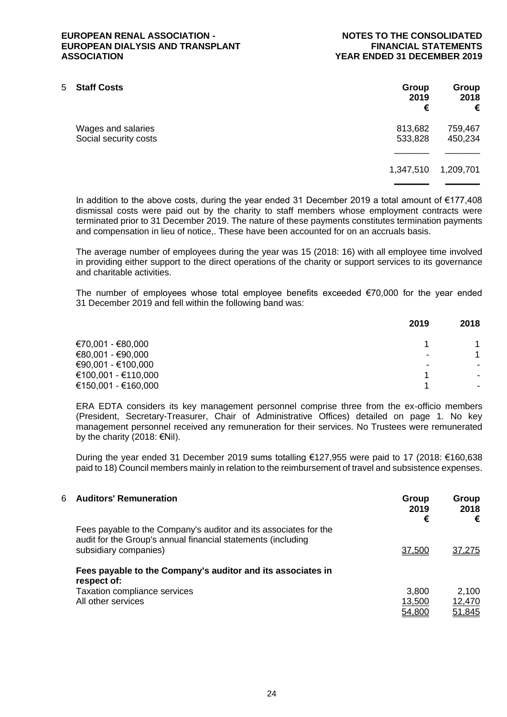| 5. | <b>Staff Costs</b>                          | Group<br>2019<br>€ | Group<br>2018<br>€ |
|----|---------------------------------------------|--------------------|--------------------|
|    | Wages and salaries<br>Social security costs | 813,682<br>533,828 | 759,467<br>450,234 |
|    |                                             | 1,347,510          | 1,209,701          |
|    |                                             |                    |                    |

In addition to the above costs, during the year ended 31 December 2019 a total amount of €177,408 dismissal costs were paid out by the charity to staff members whose employment contracts were terminated prior to 31 December 2019. The nature of these payments constitutes termination payments and compensation in lieu of notice,. These have been accounted for on an accruals basis.

The average number of employees during the year was 15 (2018: 16) with all employee time involved in providing either support to the direct operations of the charity or support services to its governance and charitable activities.

The number of employees whose total employee benefits exceeded €70,000 for the year ended 31 December 2019 and fell within the following band was:

|                     | 2019                     | 2018           |
|---------------------|--------------------------|----------------|
| €70,001 - €80,000   |                          |                |
| €80,001 - €90,000   | $\blacksquare$           | 1              |
| €90,001 - €100,000  | $\overline{\phantom{0}}$ |                |
| €100,001 - €110,000 |                          |                |
| €150,001 - €160,000 |                          | $\blacksquare$ |

ERA EDTA considers its key management personnel comprise three from the ex-officio members (President, Secretary-Treasurer, Chair of Administrative Offices) detailed on page 1. No key management personnel received any remuneration for their services. No Trustees were remunerated by the charity (2018:  $\in$ Nil).

During the year ended 31 December 2019 sums totalling €127,955 were paid to 17 (2018: €160,638 paid to 18) Council members mainly in relation to the reimbursement of travel and subsistence expenses.

| 6 | <b>Auditors' Remuneration</b>                                                                                                                             | Group<br>2019<br>€ | Group<br>2018<br>€ |
|---|-----------------------------------------------------------------------------------------------------------------------------------------------------------|--------------------|--------------------|
|   | Fees payable to the Company's auditor and its associates for the<br>audit for the Group's annual financial statements (including<br>subsidiary companies) | 37,500             | <u>37,275</u>      |
|   | Fees payable to the Company's auditor and its associates in<br>respect of:                                                                                |                    |                    |
|   | Taxation compliance services                                                                                                                              | 3.800              | 2,100              |
|   | All other services                                                                                                                                        | 13,500             | 12,470             |
|   |                                                                                                                                                           | 54,800             | 51,845             |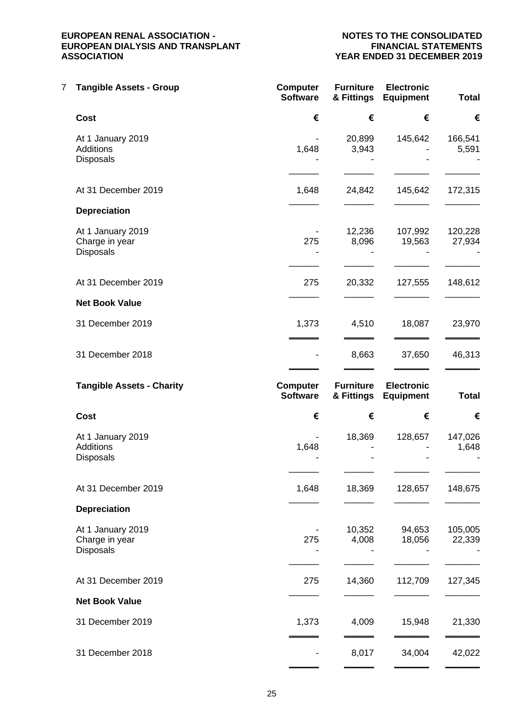## **YEAR ENDED 31 DECEMBER 2019**

| 7 | <b>Tangible Assets - Group</b>                            | <b>Computer</b><br><b>Software</b> | <b>Furniture</b><br>& Fittings | <b>Electronic</b><br><b>Equipment</b> | <b>Total</b>      |
|---|-----------------------------------------------------------|------------------------------------|--------------------------------|---------------------------------------|-------------------|
|   | <b>Cost</b>                                               | €                                  | €                              | €                                     | €                 |
|   | At 1 January 2019<br>Additions<br><b>Disposals</b>        | 1,648                              | 20,899<br>3,943                | 145,642                               | 166,541<br>5,591  |
|   | At 31 December 2019                                       | 1,648                              | 24,842                         | 145,642                               | 172,315           |
|   | <b>Depreciation</b>                                       |                                    |                                |                                       |                   |
|   | At 1 January 2019<br>Charge in year<br><b>Disposals</b>   | 275                                | 12,236<br>8,096                | 107,992<br>19,563                     | 120,228<br>27,934 |
|   | At 31 December 2019                                       | 275                                | 20,332                         | 127,555                               | 148,612           |
|   | <b>Net Book Value</b>                                     |                                    |                                |                                       |                   |
|   | 31 December 2019                                          | 1,373                              | 4,510                          | 18,087                                | 23,970            |
|   | 31 December 2018                                          |                                    | 8,663                          | 37,650                                | 46,313            |
|   | <b>Tangible Assets - Charity</b>                          | <b>Computer</b><br><b>Software</b> | <b>Furniture</b><br>& Fittings | <b>Electronic</b><br><b>Equipment</b> | <b>Total</b>      |
|   |                                                           |                                    |                                |                                       |                   |
|   | Cost                                                      | €                                  | €                              | €                                     | €                 |
|   | At 1 January 2019<br><b>Additions</b><br><b>Disposals</b> | 1,648                              | 18,369                         | 128,657                               | 147,026<br>1,648  |
|   | At 31 December 2019                                       | 1,648                              | 18,369                         | 128,657                               | 148,675           |
|   | <b>Depreciation</b>                                       |                                    |                                |                                       |                   |
|   | At 1 January 2019<br>Charge in year<br><b>Disposals</b>   | 275                                | 10,352<br>4,008                | 94,653<br>18,056                      | 105,005<br>22,339 |
|   | At 31 December 2019                                       | 275                                | 14,360                         | 112,709                               | 127,345           |
|   | <b>Net Book Value</b>                                     |                                    |                                |                                       |                   |
|   | 31 December 2019                                          | 1,373                              | 4,009                          | 15,948                                | 21,330            |
|   | 31 December 2018                                          |                                    | 8,017                          | 34,004                                | 42,022            |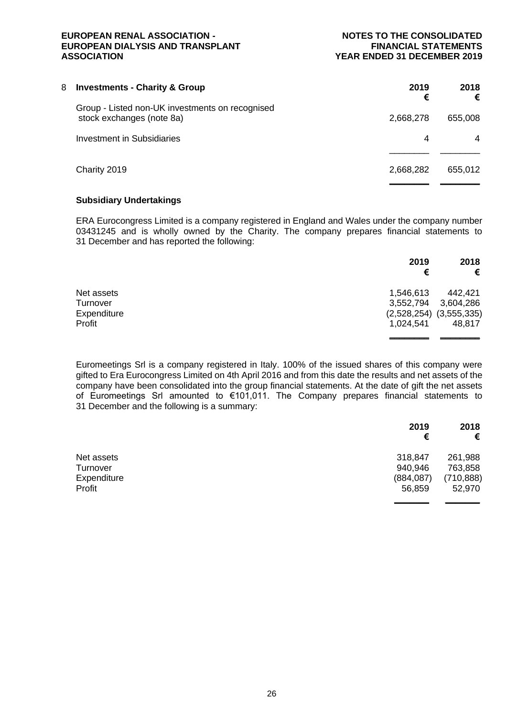| 8 | <b>Investments - Charity &amp; Group</b>                                     | 2019<br>€ | 2018<br>€ |
|---|------------------------------------------------------------------------------|-----------|-----------|
|   | Group - Listed non-UK investments on recognised<br>stock exchanges (note 8a) | 2,668,278 | 655,008   |
|   | <b>Investment in Subsidiaries</b>                                            | 4         | 4         |
|   |                                                                              |           |           |
|   | Charity 2019                                                                 | 2,668,282 | 655,012   |
|   |                                                                              |           |           |

#### **Subsidiary Undertakings**

ERA Eurocongress Limited is a company registered in England and Wales under the company number 03431245 and is wholly owned by the Charity. The company prepares financial statements to 31 December and has reported the following:

|             | 2019<br>€ | 2018<br>€                   |
|-------------|-----------|-----------------------------|
| Net assets  | 1,546,613 | 442,421                     |
| Turnover    | 3,552,794 | 3,604,286                   |
| Expenditure |           | $(2,528,254)$ $(3,555,335)$ |
| Profit      | 1,024,541 | 48,817                      |
|             |           |                             |

Euromeetings Srl is a company registered in Italy. 100% of the issued shares of this company were gifted to Era Eurocongress Limited on 4th April 2016 and from this date the results and net assets of the company have been consolidated into the group financial statements. At the date of gift the net assets of Euromeetings Srl amounted to €101,011. The Company prepares financial statements to 31 December and the following is a summary:

|             | 2019       | 2018       |
|-------------|------------|------------|
|             | €          | €          |
| Net assets  | 318,847    | 261,988    |
| Turnover    | 940,946    | 763,858    |
| Expenditure | (884, 087) | (710, 888) |
| Profit      | 56,859     | 52,970     |
|             |            |            |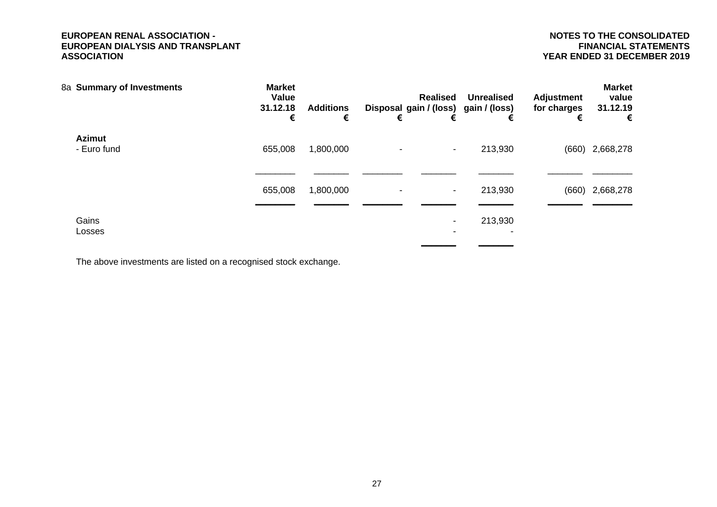| 8a Summary of Investments    | <b>Market</b><br>Value<br>31.12.18<br>€ | <b>Additions</b><br>€ | € | <b>Realised</b><br>€     | <b>Unrealised</b><br>Disposal gain / (loss) gain / (loss)<br>€ | <b>Adjustment</b><br>for charges<br>€ | <b>Market</b><br>value<br>31.12.19<br>€ |
|------------------------------|-----------------------------------------|-----------------------|---|--------------------------|----------------------------------------------------------------|---------------------------------------|-----------------------------------------|
| <b>Azimut</b><br>- Euro fund | 655,008                                 | 1,800,000             |   | $\,$                     | 213,930                                                        |                                       | $(660)$ 2,668,278                       |
|                              | 655,008                                 | 1,800,000             |   | $\overline{\phantom{a}}$ | 213,930                                                        |                                       | $(660)$ 2,668,278                       |
| Gains<br>Losses              |                                         |                       |   |                          | 213,930<br>$\overline{\phantom{0}}$                            |                                       |                                         |

The above investments are listed on a recognised stock exchange.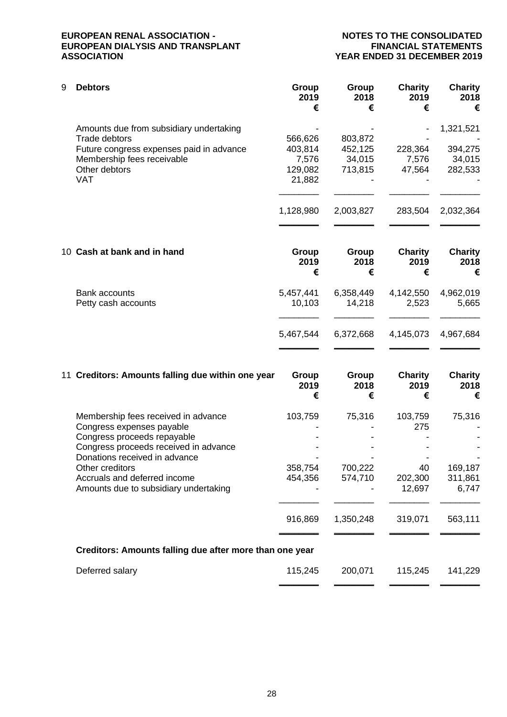# **YEAR ENDED 31 DECEMBER 2019**

| 9 | <b>Debtors</b>                           | Group<br>2019<br>€ | Group<br>2018<br>€ | <b>Charity</b><br>2019<br>€ | <b>Charity</b><br>2018<br>€ |
|---|------------------------------------------|--------------------|--------------------|-----------------------------|-----------------------------|
|   | Amounts due from subsidiary undertaking  |                    |                    |                             | 1,321,521                   |
|   | Trade debtors                            | 566,626            | 803,872            |                             |                             |
|   | Future congress expenses paid in advance | 403,814            | 452,125            | 228,364                     | 394,275                     |
|   | Membership fees receivable               | 7,576              | 34,015             | 7,576                       | 34,015                      |
|   | Other debtors                            | 129,082            | 713,815            | 47,564                      | 282,533                     |
|   | <b>VAT</b>                               | 21,882             |                    |                             |                             |
|   |                                          |                    |                    |                             |                             |
|   |                                          | 1,128,980          | 2,003,827          | 283,504                     | 2,032,364                   |
|   | 10 Cash at bank and in hand              | Group              | Group              | <b>Charity</b>              | <b>Charity</b>              |
|   |                                          | 2019<br>€          | 2018<br>€          | 2019<br>€                   | 2018<br>€                   |
|   | Bank accounts                            | 5,457,441          | 6,358,449          | 4,142,550                   | 4,962,019                   |
|   | Petty cash accounts                      | 10,103             | 14,218             | 2,523                       | 5,665                       |
|   |                                          |                    |                    |                             |                             |
|   |                                          | 5,467,544          | 6,372,668          | 4,145,073                   | 4,967,684                   |
|   |                                          |                    |                    |                             |                             |

| 11 Creditors: Amounts falling due within one year                | Group<br>2019<br>€ | Group<br>2018<br>€ | <b>Charity</b><br>2019<br>€ | <b>Charity</b><br>2018<br>€ |
|------------------------------------------------------------------|--------------------|--------------------|-----------------------------|-----------------------------|
| Membership fees received in advance<br>Congress expenses payable | 103,759            | 75,316             | 103,759<br>275              | 75,316                      |
| Congress proceeds repayable                                      |                    |                    |                             |                             |
| Congress proceeds received in advance                            |                    |                    |                             |                             |
| Donations received in advance                                    |                    |                    |                             |                             |
| Other creditors                                                  | 358,754            | 700,222            | 40                          | 169,187                     |
| Accruals and deferred income                                     | 454,356            | 574,710            | 202,300                     | 311,861                     |
| Amounts due to subsidiary undertaking                            |                    |                    | 12,697                      | 6,747                       |
|                                                                  | 916,869            | 1,350,248          | 319,071                     | 563,111                     |
|                                                                  |                    |                    |                             |                             |
| Creditors: Amounts falling due after more than one year          |                    |                    |                             |                             |
| Deferred salary                                                  | 115,245            | 200,071            | 115,245                     | 141,229                     |
|                                                                  |                    |                    |                             |                             |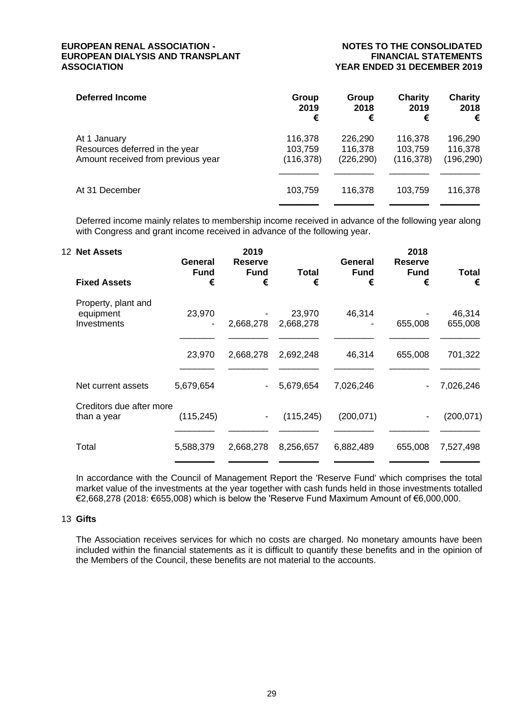## **YEAR ENDED 31 DECEMBER 2019**

| <b>Deferred Income</b>             | Group      | Group      | Charity    | <b>Charity</b> |
|------------------------------------|------------|------------|------------|----------------|
|                                    | 2019       | 2018       | 2019       | 2018           |
|                                    | €          | €          | €          | €              |
| At 1 January                       | 116,378    | 226,290    | 116,378    | 196,290        |
| Resources deferred in the year     | 103,759    | 116,378    | 103,759    | 116,378        |
| Amount received from previous year | (116, 378) | (226, 290) | (116, 378) | (196, 290)     |
| At 31 December                     | 103,759    | 116,378    | 103,759    | 116,378        |

Deferred income mainly relates to membership income received in advance of the following year along with Congress and grant income received in advance of the following year.

| 12 Net Assets                                   | General          | 2019<br><b>Reserve</b> |                     | General          | 2018<br><b>Reserve</b> |                   |
|-------------------------------------------------|------------------|------------------------|---------------------|------------------|------------------------|-------------------|
| <b>Fixed Assets</b>                             | <b>Fund</b><br>€ | <b>Fund</b><br>€       | Total<br>€          | <b>Fund</b><br>€ | <b>Fund</b><br>€       | <b>Total</b><br>€ |
| Property, plant and<br>equipment<br>Investments | 23,970           | 2,668,278              | 23,970<br>2,668,278 | 46,314           | 655,008                | 46,314<br>655,008 |
|                                                 | 23,970           | 2,668,278              | 2,692,248           | 46,314           | 655,008                | 701,322           |
| Net current assets                              | 5,679,654        |                        | 5,679,654           | 7,026,246        |                        | 7,026,246         |
| Creditors due after more<br>than a year         | (115, 245)       | $\blacksquare$         | (115, 245)          | (200, 071)       |                        | (200,071)         |
| Total                                           | 5,588,379        | 2,668,278              | 8,256,657           | 6,882,489        | 655,008                | 7,527,498         |

In accordance with the Council of Management Report the 'Reserve Fund' which comprises the total market value of the investments at the year together with cash funds held in those investments totalled €2,668,278 (2018: €655,008) which is below the 'Reserve Fund Maximum Amount of €6,000,000.

#### 13 **Gifts**

The Association receives services for which no costs are charged. No monetary amounts have been included within the financial statements as it is difficult to quantify these benefits and in the opinion of the Members of the Council, these benefits are not material to the accounts.